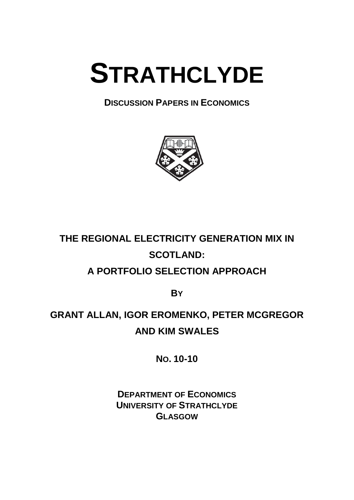# **STRATHCLYDE**

**DISCUSSION PAPERS IN ECONOMICS**



# **THE REGIONAL ELECTRICITY GENERATION MIX IN SCOTLAND: A PORTFOLIO SELECTION APPROACH**

**BY**

# **GRANT ALLAN, IGOR EROMENKO, PETER MCGREGOR AND KIM SWALES**

**NO. 10-10**

**DEPARTMENT OF ECONOMICS UNIVERSITY OF STRATHCLYDE GLASGOW**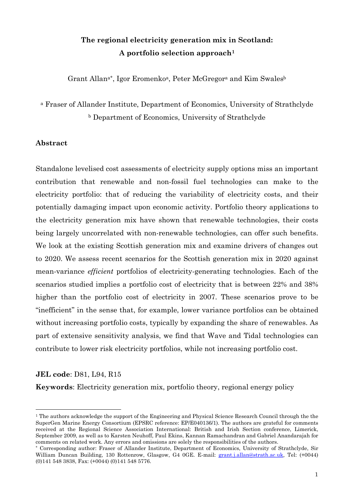## **The regional electricity generation mix in Scotland: A portfolio selection approach[1](#page-1-0)**

Grant Allan<sup>a\*</sup>, Igor Eromenko<sup>a</sup>, Peter McGregor<sup>a</sup> and Kim Swales<sup>b</sup>

<sup>a</sup> Fraser of Allander Institute, Department of Economics, University of Strathclyde <sup>b</sup> Department of Economics, University of Strathclyde

#### **Abstract**

Standalone levelised cost assessments of electricity supply options miss an important contribution that renewable and non-fossil fuel technologies can make to the electricity portfolio: that of reducing the variability of electricity costs, and their potentially damaging impact upon economic activity. Portfolio theory applications to the electricity generation mix have shown that renewable technologies, their costs being largely uncorrelated with non-renewable technologies, can offer such benefits. We look at the existing Scottish generation mix and examine drivers of changes out to 2020. We assess recent scenarios for the Scottish generation mix in 2020 against mean-variance *efficient* portfolios of electricity-generating technologies. Each of the scenarios studied implies a portfolio cost of electricity that is between 22% and 38% higher than the portfolio cost of electricity in 2007. These scenarios prove to be "inefficient" in the sense that, for example, lower variance portfolios can be obtained without increasing portfolio costs, typically by expanding the share of renewables. As part of extensive sensitivity analysis, we find that Wave and Tidal technologies can contribute to lower risk electricity portfolios, while not increasing portfolio cost.

#### **JEL code**: D81, L94, R15

<u>.</u>

**Keywords**: Electricity generation mix, portfolio theory, regional energy policy

<span id="page-1-0"></span><sup>1</sup> The authors acknowledge the support of the Engineering and Physical Science Research Council through the the SuperGen Marine Energy Consortium (EPSRC reference: EP/E040136/1). The authors are grateful for comments received at the Regional Science Association International: British and Irish Section conference, Limerick, September 2009, as well as to Karsten Neuhoff, Paul Ekins, Kannan Ramachandran and Gabriel Anandarajah for comments on related work. Any errors and omissions are solely the responsibilities of the authors.

<sup>\*</sup> Corresponding author: Fraser of Allander Institute, Department of Economics, University of Strathclyde, Sir William Duncan Building, 130 Rottenrow, Glasgow, G4 0GE. E-mail: [grant.j.allan@strath.ac.uk,](mailto:grant.j.allan@strath.ac.uk) Tel: (+0044) (0)141 548 3838, Fax: (+0044) (0)141 548 5776.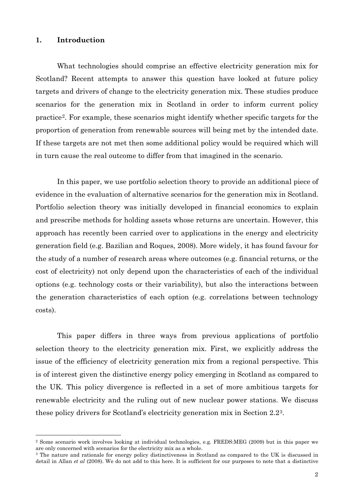#### **1. Introduction**

<u>.</u>

What technologies should comprise an effective electricity generation mix for Scotland? Recent attempts to answer this question have looked at future policy targets and drivers of change to the electricity generation mix. These studies produce scenarios for the generation mix in Scotland in order to inform current policy practice[2.](#page-2-0) For example, these scenarios might identify whether specific targets for the proportion of generation from renewable sources will being met by the intended date. If these targets are not met then some additional policy would be required which will in turn cause the real outcome to differ from that imagined in the scenario.

In this paper, we use portfolio selection theory to provide an additional piece of evidence in the evaluation of alternative scenarios for the generation mix in Scotland. Portfolio selection theory was initially developed in financial economics to explain and prescribe methods for holding assets whose returns are uncertain. However, this approach has recently been carried over to applications in the energy and electricity generation field (e.g. Bazilian and Roques, 2008). More widely, it has found favour for the study of a number of research areas where outcomes (e.g. financial returns, or the cost of electricity) not only depend upon the characteristics of each of the individual options (e.g. technology costs or their variability), but also the interactions between the generation characteristics of each option (e.g. correlations between technology costs).

This paper differs in three ways from previous applications of portfolio selection theory to the electricity generation mix. First, we explicitly address the issue of the efficiency of electricity generation mix from a regional perspective. This is of interest given the distinctive energy policy emerging in Scotland as compared to the UK. This policy divergence is reflected in a set of more ambitious targets for renewable electricity and the ruling out of new nuclear power stations. We discuss these policy drivers for Scotland's electricity generation mix in Section 2.2[3](#page-2-1) .

<span id="page-2-0"></span><sup>2</sup> Some scenario work involves looking at individual technologies, e.g. FREDS:MEG (2009) but in this paper we are only concerned with scenarios for the electricity mix as a whole.

<span id="page-2-1"></span><sup>&</sup>lt;sup>3</sup> The nature and rationale for energy policy distinctiveness in Scotland as compared to the UK is discussed in detail in Allan *et al* (2008). We do not add to this here. It is sufficient for our purposes to note that a distinctive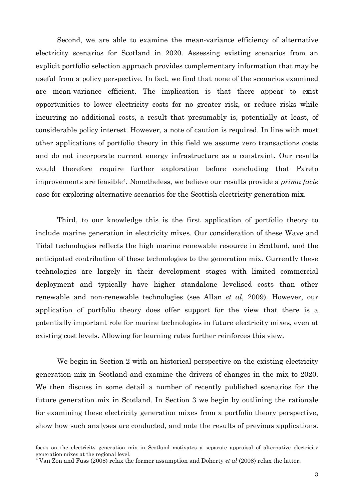Second, we are able to examine the mean-variance efficiency of alternative electricity scenarios for Scotland in 2020. Assessing existing scenarios from an explicit portfolio selection approach provides complementary information that may be useful from a policy perspective. In fact, we find that none of the scenarios examined are mean-variance efficient. The implication is that there appear to exist opportunities to lower electricity costs for no greater risk, or reduce risks while incurring no additional costs, a result that presumably is, potentially at least, of considerable policy interest. However, a note of caution is required. In line with most other applications of portfolio theory in this field we assume zero transactions costs and do not incorporate current energy infrastructure as a constraint. Our results would therefore require further exploration before concluding that Pareto improvements are feasible[4.](#page-3-0) Nonetheless, we believe our results provide a *prima facie* case for exploring alternative scenarios for the Scottish electricity generation mix.

Third, to our knowledge this is the first application of portfolio theory to include marine generation in electricity mixes. Our consideration of these Wave and Tidal technologies reflects the high marine renewable resource in Scotland, and the anticipated contribution of these technologies to the generation mix. Currently these technologies are largely in their development stages with limited commercial deployment and typically have higher standalone levelised costs than other renewable and non-renewable technologies (see Allan *et al*, 2009). However, our application of portfolio theory does offer support for the view that there is a potentially important role for marine technologies in future electricity mixes, even at existing cost levels. Allowing for learning rates further reinforces this view.

We begin in Section 2 with an historical perspective on the existing electricity generation mix in Scotland and examine the drivers of changes in the mix to 2020. We then discuss in some detail a number of recently published scenarios for the future generation mix in Scotland. In Section 3 we begin by outlining the rationale for examining these electricity generation mixes from a portfolio theory perspective, show how such analyses are conducted, and note the results of previous applications.

-

focus on the electricity generation mix in Scotland motivates a separate appraisal of alternative electricity generation mixes at the regional level.

<span id="page-3-0"></span><sup>4</sup> Van Zon and Fuss (2008) relax the former assumption and Doherty *et al* (2008) relax the latter.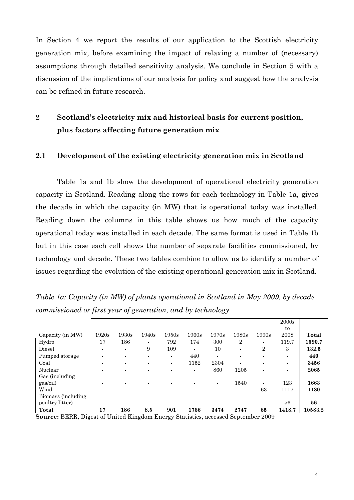In Section 4 we report the results of our application to the Scottish electricity generation mix, before examining the impact of relaxing a number of (necessary) assumptions through detailed sensitivity analysis. We conclude in Section 5 with a discussion of the implications of our analysis for policy and suggest how the analysis can be refined in future research.

## **2 Scotland's electricity mix and historical basis for current position, plus factors affecting future generation mix**

#### **2.1 Development of the existing electricity generation mix in Scotland**

Table 1a and 1b show the development of operational electricity generation capacity in Scotland. Reading along the rows for each technology in Table 1a, gives the decade in which the capacity (in MW) that is operational today was installed. Reading down the columns in this table shows us how much of the capacity operational today was installed in each decade. The same format is used in Table 1b but in this case each cell shows the number of separate facilities commissioned, by technology and decade. These two tables combine to allow us to identify a number of issues regarding the evolution of the existing operational generation mix in Scotland.

|                    |       |                |                          |       |                          |                |                |                          | 2000 <sub>s</sub>        |         |
|--------------------|-------|----------------|--------------------------|-------|--------------------------|----------------|----------------|--------------------------|--------------------------|---------|
|                    |       |                |                          |       |                          |                |                |                          | to                       |         |
| Capacity (in MW)   | 1920s | 1930s          | 1940s                    | 1950s | 1960s                    | 1970s          | 1980s          | 1990s                    | 2008                     | Total   |
| Hydro              | 17    | 186            | $\overline{\phantom{a}}$ | 792   | 174                      | 300            | $\overline{2}$ | $\overline{\phantom{a}}$ | 119.7                    | 1590.7  |
| Diesel             | ٠     | $\blacksquare$ | 9                        | 109   | $\overline{\phantom{a}}$ | 10             | $\blacksquare$ | $\overline{2}$           | 3                        | 132.5   |
| Pumped storage     |       |                |                          | ۰     | 440                      | $\blacksquare$ |                | $\blacksquare$           | -                        | 440     |
| Coal               |       |                |                          |       | 1152                     | 2304           | $\blacksquare$ | $\overline{\phantom{a}}$ | $\blacksquare$           | 3456    |
| Nuclear            |       |                |                          |       | $\overline{\phantom{a}}$ | 860            | 1205           | $\overline{\phantom{a}}$ | $\overline{\phantom{a}}$ | 2065    |
| Gas (including)    |       |                |                          |       |                          |                |                |                          |                          |         |
| gas/oil)           |       |                |                          |       |                          | $\blacksquare$ | 1540           | $\overline{\phantom{a}}$ | 123                      | 1663    |
| Wind               |       |                |                          |       |                          |                | $\blacksquare$ | 63                       | 1117                     | 1180    |
| Biomass (including |       |                |                          |       |                          |                |                |                          |                          |         |
| poultry litter)    |       |                | $\overline{\phantom{0}}$ |       |                          |                |                | $\overline{\phantom{a}}$ | 56                       | 56      |
| Total              | 17    | 186            | 8.5                      | 901   | 1766                     | 3474           | 2747           | 65                       | 1418.7                   | 10583.2 |

*Table 1a: Capacity (in MW) of plants operational in Scotland in May 2009, by decade commissioned or first year of generation, and by technology*

**Source:** BERR, Digest of United Kingdom Energy Statistics, accessed September 2009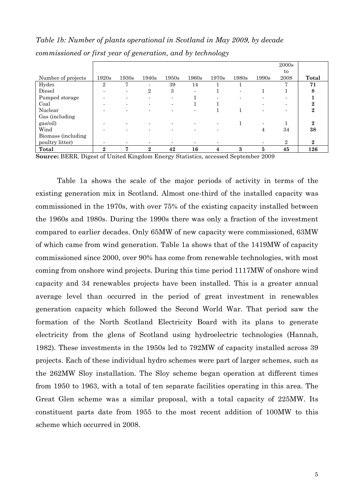|                    |                          |                          |                |       |                |       |                          |       | 2000s          |          |
|--------------------|--------------------------|--------------------------|----------------|-------|----------------|-------|--------------------------|-------|----------------|----------|
|                    |                          |                          |                |       |                |       |                          |       | to             |          |
| Number of projects | 1920s                    | 1930s                    | 1940s          | 1950s | 1960s          | 1970s | 1980s                    | 1990s | 2008           | Total    |
| Hydro              | $\overline{2}$           | $\overline{ }$           | -              | 39    | 14             |       |                          |       | 7              | 71       |
| Diesel             | $\overline{\phantom{a}}$ | $\overline{\phantom{a}}$ | $\overline{2}$ | 3     | $\blacksquare$ |       | $\overline{\phantom{a}}$ |       |                | 8        |
| Pumped storage     |                          | $\blacksquare$           |                | -     |                |       | ۰                        |       |                |          |
| Coal               | $\overline{\phantom{a}}$ | $\overline{\phantom{a}}$ |                | -     |                |       |                          |       | -              | 2        |
| Nuclear            |                          |                          |                |       |                |       |                          |       |                | 2        |
| Gas (including)    |                          |                          |                |       |                |       |                          |       |                |          |
| gas/oil)           |                          | $\overline{\phantom{a}}$ |                |       |                |       |                          |       |                | 2        |
| Wind               |                          |                          |                |       |                |       |                          | 4     | 34             | 38       |
| Biomass (including |                          |                          |                |       |                |       |                          |       |                |          |
| poultry litter)    |                          | $\overline{\phantom{a}}$ |                |       |                |       |                          | ٠     | $\overline{2}$ | $\bf{2}$ |
| Total              | $\bf{2}$                 | 5                        | $\bf{2}$       | 42    | 16             | 4     | 3                        | 5     | 45             | 126      |

*Table 1b: Number of plants operational in Scotland in May 2009, by decade commissioned or first year of generation, and by technology*

**Source:** BERR, Digest of United Kingdom Energy Statistics, accessed September 2009

Table 1a shows the scale of the major periods of activity in terms of the existing generation mix in Scotland. Almost one-third of the installed capacity was commissioned in the 1970s, with over 75% of the existing capacity installed between the 1960s and 1980s. During the 1990s there was only a fraction of the investment compared to earlier decades. Only 65MW of new capacity were commissioned, 63MW of which came from wind generation. Table 1a shows that of the 1419MW of capacity commissioned since 2000, over 90% has come from renewable technologies, with most coming from onshore wind projects. During this time period 1117MW of onshore wind capacity and 34 renewables projects have been installed. This is a greater annual average level than occurred in the period of great investment in renewables generation capacity which followed the Second World War. That period saw the formation of the North Scotland Electricity Board with its plans to generate electricity from the glens of Scotland using hydroelectric technologies (Hannah, 1982). These investments in the 1950s led to 792MW of capacity installed across 39 projects. Each of these individual hydro schemes were part of larger schemes, such as the 262MW Sloy installation. The Sloy scheme began operation at different times from 1950 to 1963, with a total of ten separate facilities operating in this area. The Great Glen scheme was a similar proposal, with a total capacity of 225MW. Its constituent parts date from 1955 to the most recent addition of 100MW to this scheme which occurred in 2008.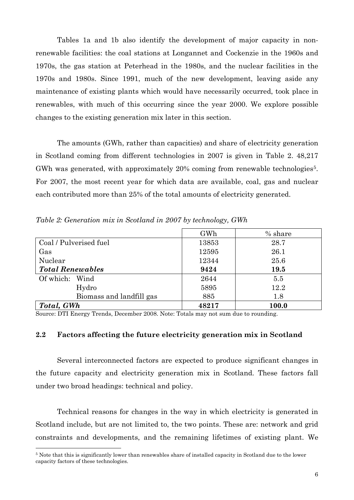Tables 1a and 1b also identify the development of major capacity in nonrenewable facilities: the coal stations at Longannet and Cockenzie in the 1960s and 1970s, the gas station at Peterhead in the 1980s, and the nuclear facilities in the 1970s and 1980s. Since 1991, much of the new development, leaving aside any maintenance of existing plants which would have necessarily occurred, took place in renewables, with much of this occurring since the year 2000. We explore possible changes to the existing generation mix later in this section.

The amounts (GWh, rather than capacities) and share of electricity generation in Scotland coming from different technologies in 2007 is given in Table 2. 48,217 GWh was generated, with approximately 20% coming from renewable technologies<sup>5</sup>. For 2007, the most recent year for which data are available, coal, gas and nuclear each contributed more than 25% of the total amounts of electricity generated.

*Table 2: Generation mix in Scotland in 2007 by technology, GWh*

|                          | GWh   | % share |
|--------------------------|-------|---------|
| Coal / Pulverised fuel   | 13853 | 28.7    |
| Gas                      | 12595 | 26.1    |
| Nuclear                  | 12344 | 25.6    |
| <b>Total Renewables</b>  | 9424  | 19.5    |
| Of which: Wind           | 2644  | 5.5     |
| Hydro                    | 5895  | 12.2    |
| Biomass and landfill gas | 885   | 1.8     |
| Total, GWh               | 48217 | 100.0   |

Source: DTI Energy Trends, December 2008. Note: Totals may not sum due to rounding.

#### **2.2 Factors affecting the future electricity generation mix in Scotland**

Several interconnected factors are expected to produce significant changes in the future capacity and electricity generation mix in Scotland. These factors fall under two broad headings: technical and policy.

Technical reasons for changes in the way in which electricity is generated in Scotland include, but are not limited to, the two points. These are: network and grid constraints and developments, and the remaining lifetimes of existing plant. We

<u>.</u>

<span id="page-6-0"></span><sup>5</sup> Note that this is significantly lower than renewables share of installed capacity in Scotland due to the lower capacity factors of these technologies.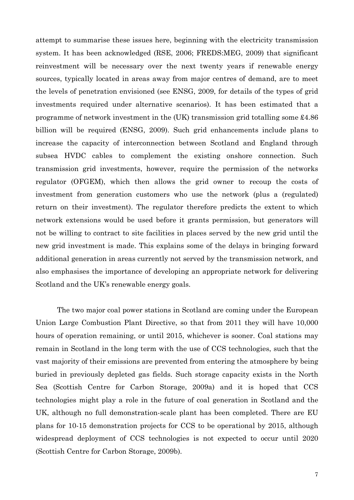attempt to summarise these issues here, beginning with the electricity transmission system. It has been acknowledged (RSE, 2006; FREDS:MEG, 2009) that significant reinvestment will be necessary over the next twenty years if renewable energy sources, typically located in areas away from major centres of demand, are to meet the levels of penetration envisioned (see ENSG, 2009, for details of the types of grid investments required under alternative scenarios). It has been estimated that a programme of network investment in the (UK) transmission grid totalling some £4.86 billion will be required (ENSG, 2009). Such grid enhancements include plans to increase the capacity of interconnection between Scotland and England through subsea HVDC cables to complement the existing onshore connection. Such transmission grid investments, however, require the permission of the networks regulator (OFGEM), which then allows the grid owner to recoup the costs of investment from generation customers who use the network (plus a (regulated) return on their investment). The regulator therefore predicts the extent to which network extensions would be used before it grants permission, but generators will not be willing to contract to site facilities in places served by the new grid until the new grid investment is made. This explains some of the delays in bringing forward additional generation in areas currently not served by the transmission network, and also emphasises the importance of developing an appropriate network for delivering Scotland and the UK's renewable energy goals.

The two major coal power stations in Scotland are coming under the European Union Large Combustion Plant Directive, so that from 2011 they will have 10,000 hours of operation remaining, or until 2015, whichever is sooner. Coal stations may remain in Scotland in the long term with the use of CCS technologies, such that the vast majority of their emissions are prevented from entering the atmosphere by being buried in previously depleted gas fields. Such storage capacity exists in the North Sea (Scottish Centre for Carbon Storage, 2009a) and it is hoped that CCS technologies might play a role in the future of coal generation in Scotland and the UK, although no full demonstration-scale plant has been completed. There are EU plans for 10-15 demonstration projects for CCS to be operational by 2015, although widespread deployment of CCS technologies is not expected to occur until 2020 (Scottish Centre for Carbon Storage, 2009b).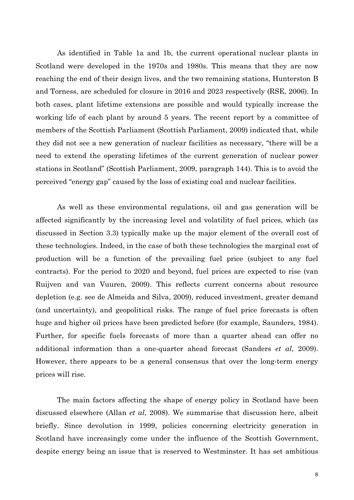As identified in Table 1a and 1b, the current operational nuclear plants in Scotland were developed in the 1970s and 1980s. This means that they are now reaching the end of their design lives, and the two remaining stations, Hunterston B and Torness, are scheduled for closure in 2016 and 2023 respectively (RSE, 2006). In both cases, plant lifetime extensions are possible and would typically increase the working life of each plant by around 5 years. The recent report by a committee of members of the Scottish Parliament (Scottish Parliament, 2009) indicated that, while they did not see a new generation of nuclear facilities as necessary, "there will be a need to extend the operating lifetimes of the current generation of nuclear power stations in Scotland" (Scottish Parliament, 2009, paragraph 144). This is to avoid the perceived "energy gap" caused by the loss of existing coal and nuclear facilities.

As well as these environmental regulations, oil and gas generation will be affected significantly by the increasing level and volatility of fuel prices, which (as discussed in Section 3.3) typically make up the major element of the overall cost of these technologies. Indeed, in the case of both these technologies the marginal cost of production will be a function of the prevailing fuel price (subject to any fuel contracts). For the period to 2020 and beyond, fuel prices are expected to rise (van Ruijven and van Vuuren, 2009). This reflects current concerns about resource depletion (e.g. see de Almeida and Silva, 2009), reduced investment, greater demand (and uncertainty), and geopolitical risks. The range of fuel price forecasts is often huge and higher oil prices have been predicted before (for example, Saunders, 1984). Further, for specific fuels forecasts of more than a quarter ahead can offer no additional information than a one-quarter ahead forecast (Sanders *et al*, 2009). However, there appears to be a general consensus that over the long-term energy prices will rise.

The main factors affecting the shape of energy policy in Scotland have been discussed elsewhere (Allan *et al*, 2008). We summarise that discussion here, albeit briefly. Since devolution in 1999, policies concerning electricity generation in Scotland have increasingly come under the influence of the Scottish Government, despite energy being an issue that is reserved to Westminster. It has set ambitious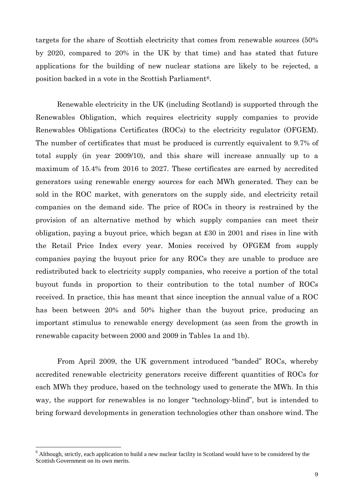targets for the share of Scottish electricity that comes from renewable sources (50% by 2020, compared to 20% in the UK by that time) and has stated that future applications for the building of new nuclear stations are likely to be rejected, a position backed in a vote in the Scottish Parliament<sup>[6](#page-9-0)</sup>.

Renewable electricity in the UK (including Scotland) is supported through the Renewables Obligation, which requires electricity supply companies to provide Renewables Obligations Certificates (ROCs) to the electricity regulator (OFGEM). The number of certificates that must be produced is currently equivalent to 9.7% of total supply (in year 2009/10), and this share will increase annually up to a maximum of 15.4% from 2016 to 2027. These certificates are earned by accredited generators using renewable energy sources for each MWh generated. They can be sold in the ROC market, with generators on the supply side, and electricity retail companies on the demand side. The price of ROCs in theory is restrained by the provision of an alternative method by which supply companies can meet their obligation, paying a buyout price, which began at £30 in 2001 and rises in line with the Retail Price Index every year. Monies received by OFGEM from supply companies paying the buyout price for any ROCs they are unable to produce are redistributed back to electricity supply companies, who receive a portion of the total buyout funds in proportion to their contribution to the total number of ROCs received. In practice, this has meant that since inception the annual value of a ROC has been between 20% and 50% higher than the buyout price, producing an important stimulus to renewable energy development (as seen from the growth in renewable capacity between 2000 and 2009 in Tables 1a and 1b).

From April 2009, the UK government introduced "banded" ROCs, whereby accredited renewable electricity generators receive different quantities of ROCs for each MWh they produce, based on the technology used to generate the MWh. In this way, the support for renewables is no longer "technology-blind", but is intended to bring forward developments in generation technologies other than onshore wind. The

<span id="page-9-0"></span> $6$  Although, strictly, each application to build a new nuclear facility in Scotland would have to be considered by the Scottish Government on its own merits.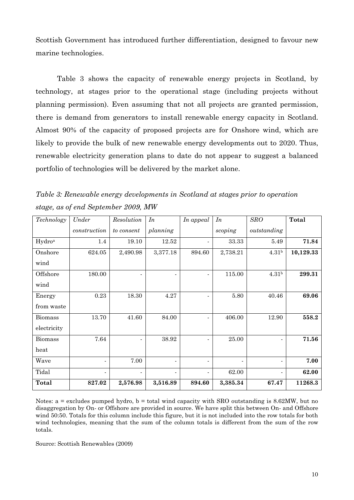Scottish Government has introduced further differentiation, designed to favour new marine technologies.

Table 3 shows the capacity of renewable energy projects in Scotland, by technology, at stages prior to the operational stage (including projects without planning permission). Even assuming that not all projects are granted permission, there is demand from generators to install renewable energy capacity in Scotland. Almost 90% of the capacity of proposed projects are for Onshore wind, which are likely to provide the bulk of new renewable energy developments out to 2020. Thus, renewable electricity generation plans to date do not appear to suggest a balanced portfolio of technologies will be delivered by the market alone.

*Table 3: Renewable energy developments in Scotland at stages prior to operation stage, as of end September 2009, MW*

| Technology     | Under        | Resolution | In       | In appeal | In       | <b>SRO</b>                   | <b>Total</b> |
|----------------|--------------|------------|----------|-----------|----------|------------------------------|--------------|
|                | construction | to consent | planning |           | scoping  | outstanding                  |              |
| Hydroa         | 1.4          | 19.10      | 12.52    |           | 33.33    | 5.49                         | 71.84        |
| Onshore        | 624.05       | 2,490.98   | 3,377.18 | 894.60    | 2,738.21 | 4.31 <sup>b</sup>            | 10,129.33    |
| wind           |              |            |          |           |          |                              |              |
| Offshore       | 180.00       |            |          |           | 115.00   | 4.31 <sup>b</sup>            | 299.31       |
| wind           |              |            |          |           |          |                              |              |
| Energy         | 0.23         | 18.30      | 4.27     |           | 5.80     | 40.46                        | 69.06        |
| from waste     |              |            |          |           |          |                              |              |
| <b>Biomass</b> | 13.70        | 41.60      | 84.00    |           | 406.00   | 12.90                        | 558.2        |
| electricity    |              |            |          |           |          |                              |              |
| <b>Biomass</b> | 7.64         |            | 38.92    |           | 25.00    |                              | 71.56        |
| heat           |              |            |          |           |          |                              |              |
| Wave           |              | 7.00       |          |           |          | $\qquad \qquad \blacksquare$ | 7.00         |
| Tidal          |              |            |          |           | 62.00    |                              | 62.00        |
| <b>Total</b>   | 827.02       | 2,576.98   | 3,516.89 | 894.60    | 3,385.34 | 67.47                        | 11268.3      |

Notes:  $a =$  excludes pumped hydro,  $b =$  total wind capacity with SRO outstanding is 8.62MW, but no disaggregation by On- or Offshore are provided in source. We have split this between On- and Offshore wind 50:50. Totals for this column include this figure, but it is not included into the row totals for both wind technologies, meaning that the sum of the column totals is different from the sum of the row totals.

Source: Scottish Renewables (2009)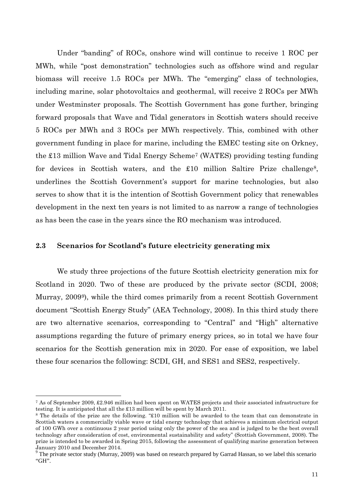Under "banding" of ROCs, onshore wind will continue to receive 1 ROC per MWh, while "post demonstration" technologies such as offshore wind and regular biomass will receive 1.5 ROCs per MWh. The "emerging" class of technologies, including marine, solar photovoltaics and geothermal, will receive 2 ROCs per MWh under Westminster proposals. The Scottish Government has gone further, bringing forward proposals that Wave and Tidal generators in Scottish waters should receive 5 ROCs per MWh and 3 ROCs per MWh respectively. This, combined with other government funding in place for marine, including the EMEC testing site on Orkney, the £13 million Wave and Tidal Energy Scheme[7](#page-11-0) (WATES) providing testing funding for devices in Scottish waters, and the  $\pounds10$  million Saltire Prize challenge<sup>8</sup>, underlines the Scottish Government's support for marine technologies, but also serves to show that it is the intention of Scottish Government policy that renewables development in the next ten years is not limited to as narrow a range of technologies as has been the case in the years since the RO mechanism was introduced.

#### **2.3 Scenarios for Scotland's future electricity generating mix**

We study three projections of the future Scottish electricity generation mix for Scotland in 2020. Two of these are produced by the private sector (SCDI, 2008; Murray, 2009[9\)](#page-11-2), while the third comes primarily from a recent Scottish Government document "Scottish Energy Study" (AEA Technology, 2008). In this third study there are two alternative scenarios, corresponding to "Central" and "High" alternative assumptions regarding the future of primary energy prices, so in total we have four scenarios for the Scottish generation mix in 2020. For ease of exposition, we label these four scenarios the following: SCDI, GH, and SES1 and SES2, respectively.

-

<span id="page-11-0"></span><sup>7</sup> As of September 2009, £2.946 million had been spent on WATES projects and their associated infrastructure for testing. It is anticipated that all the £13 million will be spent by March 2011.

<span id="page-11-1"></span><sup>8</sup> The details of the prize are the following. "£10 million will be awarded to the team that can demonstrate in Scottish waters a commercially viable wave or tidal energy technology that achieves a minimum electrical output of 100 GWh over a continuous 2 year period using only the power of the sea and is judged to be the best overall technology after consideration of cost, environmental sustainability and safety" (Scottish Government, 2008). The prize is intended to be awarded in Spring 2015, following the assessment of qualifying marine generation between January 2010 and December 2014.<br><sup>9</sup> The private sector study (Murray, 2009) was based on research prepared by Garrad Hassan, so we label this scenario

<span id="page-11-2"></span><sup>&</sup>quot;GH".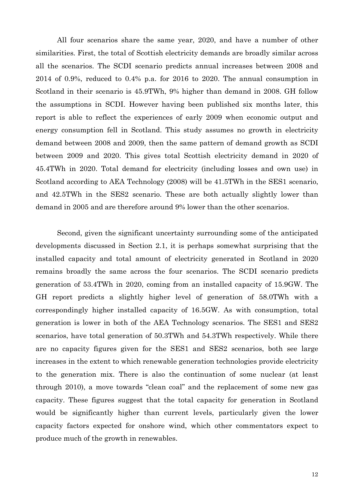All four scenarios share the same year, 2020, and have a number of other similarities. First, the total of Scottish electricity demands are broadly similar across all the scenarios. The SCDI scenario predicts annual increases between 2008 and 2014 of 0.9%, reduced to 0.4% p.a. for 2016 to 2020. The annual consumption in Scotland in their scenario is 45.9TWh, 9% higher than demand in 2008. GH follow the assumptions in SCDI. However having been published six months later, this report is able to reflect the experiences of early 2009 when economic output and energy consumption fell in Scotland. This study assumes no growth in electricity demand between 2008 and 2009, then the same pattern of demand growth as SCDI between 2009 and 2020. This gives total Scottish electricity demand in 2020 of 45.4TWh in 2020. Total demand for electricity (including losses and own use) in Scotland according to AEA Technology (2008) will be 41.5TWh in the SES1 scenario, and 42.5TWh in the SES2 scenario. These are both actually slightly lower than demand in 2005 and are therefore around 9% lower than the other scenarios.

Second, given the significant uncertainty surrounding some of the anticipated developments discussed in Section 2.1, it is perhaps somewhat surprising that the installed capacity and total amount of electricity generated in Scotland in 2020 remains broadly the same across the four scenarios. The SCDI scenario predicts generation of 53.4TWh in 2020, coming from an installed capacity of 15.9GW. The GH report predicts a slightly higher level of generation of 58.0TWh with a correspondingly higher installed capacity of 16.5GW. As with consumption, total generation is lower in both of the AEA Technology scenarios. The SES1 and SES2 scenarios, have total generation of 50.3TWh and 54.3TWh respectively. While there are no capacity figures given for the SES1 and SES2 scenarios, both see large increases in the extent to which renewable generation technologies provide electricity to the generation mix. There is also the continuation of some nuclear (at least through 2010), a move towards "clean coal" and the replacement of some new gas capacity. These figures suggest that the total capacity for generation in Scotland would be significantly higher than current levels, particularly given the lower capacity factors expected for onshore wind, which other commentators expect to produce much of the growth in renewables.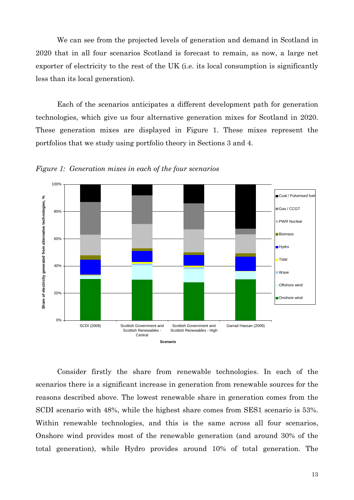We can see from the projected levels of generation and demand in Scotland in 2020 that in all four scenarios Scotland is forecast to remain, as now, a large net exporter of electricity to the rest of the UK (i.e. its local consumption is significantly less than its local generation).

Each of the scenarios anticipates a different development path for generation technologies, which give us four alternative generation mixes for Scotland in 2020. These generation mixes are displayed in Figure 1. These mixes represent the portfolios that we study using portfolio theory in Sections 3 and 4.



*Figure 1: Generation mixes in each of the four scenarios*

Consider firstly the share from renewable technologies. In each of the scenarios there is a significant increase in generation from renewable sources for the reasons described above. The lowest renewable share in generation comes from the SCDI scenario with 48%, while the highest share comes from SES1 scenario is 53%. Within renewable technologies, and this is the same across all four scenarios, Onshore wind provides most of the renewable generation (and around 30% of the total generation), while Hydro provides around 10% of total generation. The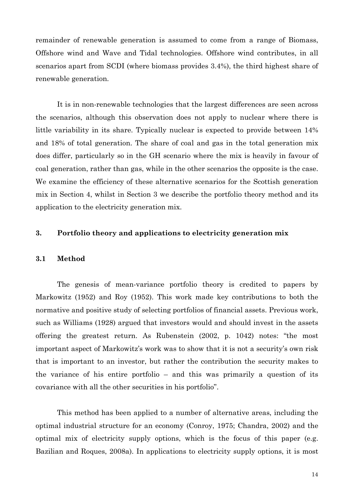remainder of renewable generation is assumed to come from a range of Biomass, Offshore wind and Wave and Tidal technologies. Offshore wind contributes, in all scenarios apart from SCDI (where biomass provides 3.4%), the third highest share of renewable generation.

It is in non-renewable technologies that the largest differences are seen across the scenarios, although this observation does not apply to nuclear where there is little variability in its share. Typically nuclear is expected to provide between 14% and 18% of total generation. The share of coal and gas in the total generation mix does differ, particularly so in the GH scenario where the mix is heavily in favour of coal generation, rather than gas, while in the other scenarios the opposite is the case. We examine the efficiency of these alternative scenarios for the Scottish generation mix in Section 4, whilst in Section 3 we describe the portfolio theory method and its application to the electricity generation mix.

#### **3. Portfolio theory and applications to electricity generation mix**

#### **3.1 Method**

The genesis of mean-variance portfolio theory is credited to papers by Markowitz (1952) and Roy (1952). This work made key contributions to both the normative and positive study of selecting portfolios of financial assets. Previous work, such as Williams (1928) argued that investors would and should invest in the assets offering the greatest return. As Rubenstein (2002, p. 1042) notes: "the most important aspect of Markowitz's work was to show that it is not a security's own risk that is important to an investor, but rather the contribution the security makes to the variance of his entire portfolio – and this was primarily a question of its covariance with all the other securities in his portfolio".

This method has been applied to a number of alternative areas, including the optimal industrial structure for an economy (Conroy, 1975; Chandra, 2002) and the optimal mix of electricity supply options, which is the focus of this paper (e.g. Bazilian and Roques, 2008a). In applications to electricity supply options, it is most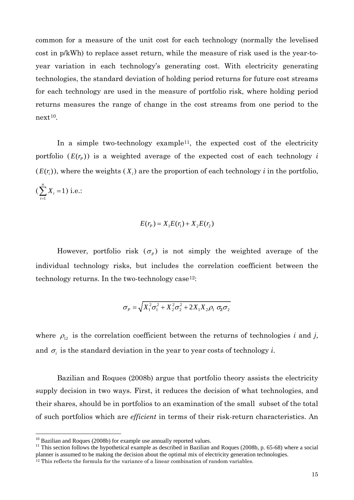common for a measure of the unit cost for each technology (normally the levelised cost in p/kWh) to replace asset return, while the measure of risk used is the year-toyear variation in each technology's generating cost. With electricity generating technologies, the standard deviation of holding period returns for future cost streams for each technology are used in the measure of portfolio risk, where holding period returns measures the range of change in the cost streams from one period to the  $next^{10}$ .

In a simple two-technology example<sup>[11](#page-15-1)</sup>, the expected cost of the electricity portfolio  $(E(r_p))$  is a weighted average of the expected cost of each technology *i*  $(E(r_i))$ , where the weights  $(X_i)$  are the proportion of each technology *i* in the portfolio, ( 1 1 *n i i X*  $\sum_{i=1} X_i = 1$ ) i.e.:

$$
E(r_p) = X_1 E(r_1) + X_2 E(r_2)
$$

However, portfolio risk  $(\sigma_p)$  is not simply the weighted average of the individual technology risks, but includes the correlation coefficient between the technology returns. In the two-technology case[12](#page-15-2):

$$
\sigma_{p} = \sqrt{X_{1}^{2} \sigma_{1}^{2} + X_{2}^{2} \sigma_{2}^{2} + 2X_{1}X_{2} \rho_{1} \sigma_{2} \sigma_{2}}
$$

where  $\rho_{12}$  is the correlation coefficient between the returns of technologies *i* and *j*, and  $\sigma_i$  is the standard deviation in the year to year costs of technology *i*.

Bazilian and Roques (2008b) argue that portfolio theory assists the electricity supply decision in two ways. First, it reduces the decision of what technologies, and their shares, should be in portfolios to an examination of the small subset of the total of such portfolios which are *efficient* in terms of their risk-return characteristics. An

<span id="page-15-1"></span><span id="page-15-0"></span><sup>&</sup>lt;sup>10</sup> Bazilian and Roques (2008b) for example use annually reported values.<br><sup>11</sup> This section follows the hypothetical example as described in Bazilian and Roques (2008b, p. 65-68) where a social planner is assumed to be making the decision about the optimal mix of electricity generation technologies.

<span id="page-15-2"></span> $12$  This reflects the formula for the variance of a linear combination of random variables.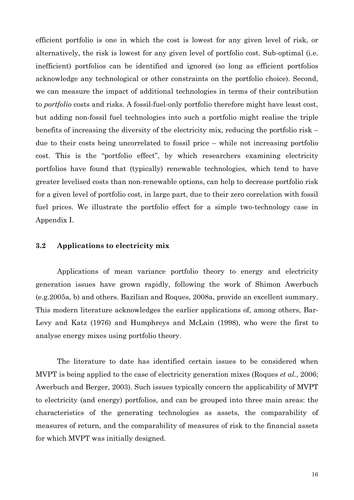efficient portfolio is one in which the cost is lowest for any given level of risk, or alternatively, the risk is lowest for any given level of portfolio cost. Sub-optimal (i.e. inefficient) portfolios can be identified and ignored (so long as efficient portfolios acknowledge any technological or other constraints on the portfolio choice). Second, we can measure the impact of additional technologies in terms of their contribution to *portfolio* costs and risks. A fossil-fuel-only portfolio therefore might have least cost, but adding non-fossil fuel technologies into such a portfolio might realise the triple benefits of increasing the diversity of the electricity mix, reducing the portfolio risk – due to their costs being uncorrelated to fossil price – while not increasing portfolio cost. This is the "portfolio effect", by which researchers examining electricity portfolios have found that (typically) renewable technologies, which tend to have greater levelised costs than non-renewable options, can help to decrease portfolio risk for a given level of portfolio cost, in large part, due to their zero correlation with fossil fuel prices. We illustrate the portfolio effect for a simple two-technology case in Appendix I.

#### **3.2 Applications to electricity mix**

Applications of mean variance portfolio theory to energy and electricity generation issues have grown rapidly, following the work of Shimon Awerbuch (e.g.2005a, b) and others. Bazilian and Roques, 2008a, provide an excellent summary. This modern literature acknowledges the earlier applications of, among others, Bar-Levy and Katz (1976) and Humphreys and McLain (1998), who were the first to analyse energy mixes using portfolio theory.

The literature to date has identified certain issues to be considered when MVPT is being applied to the case of electricity generation mixes (Roques *et al*., 2006; Awerbuch and Berger, 2003). Such issues typically concern the applicability of MVPT to electricity (and energy) portfolios, and can be grouped into three main areas: the characteristics of the generating technologies as assets, the comparability of measures of return, and the comparability of measures of risk to the financial assets for which MVPT was initially designed.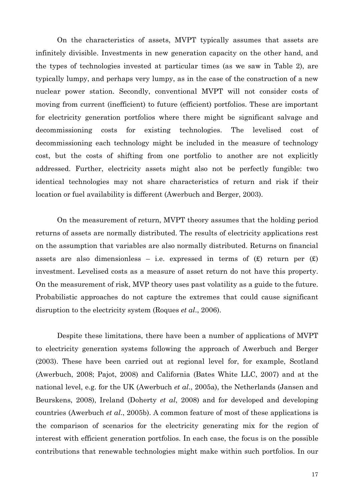On the characteristics of assets, MVPT typically assumes that assets are infinitely divisible. Investments in new generation capacity on the other hand, and the types of technologies invested at particular times (as we saw in Table 2), are typically lumpy, and perhaps very lumpy, as in the case of the construction of a new nuclear power station. Secondly, conventional MVPT will not consider costs of moving from current (inefficient) to future (efficient) portfolios. These are important for electricity generation portfolios where there might be significant salvage and decommissioning costs for existing technologies. The levelised cost of decommissioning each technology might be included in the measure of technology cost, but the costs of shifting from one portfolio to another are not explicitly addressed. Further, electricity assets might also not be perfectly fungible: two identical technologies may not share characteristics of return and risk if their location or fuel availability is different (Awerbuch and Berger, 2003).

On the measurement of return, MVPT theory assumes that the holding period returns of assets are normally distributed. The results of electricity applications rest on the assumption that variables are also normally distributed. Returns on financial assets are also dimensionless – i.e. expressed in terms of  $(\text{\textsterling})$  return per  $(\text{\textsterling})$ investment. Levelised costs as a measure of asset return do not have this property. On the measurement of risk, MVP theory uses past volatility as a guide to the future. Probabilistic approaches do not capture the extremes that could cause significant disruption to the electricity system (Roques *et al*., 2006).

Despite these limitations, there have been a number of applications of MVPT to electricity generation systems following the approach of Awerbuch and Berger (2003). These have been carried out at regional level for, for example, Scotland (Awerbuch, 2008; Pajot, 2008) and California (Bates White LLC, 2007) and at the national level, e.g. for the UK (Awerbuch *et al*., 2005a), the Netherlands (Jansen and Beurskens, 2008), Ireland (Doherty *et al*, 2008) and for developed and developing countries (Awerbuch *et al*., 2005b). A common feature of most of these applications is the comparison of scenarios for the electricity generating mix for the region of interest with efficient generation portfolios. In each case, the focus is on the possible contributions that renewable technologies might make within such portfolios. In our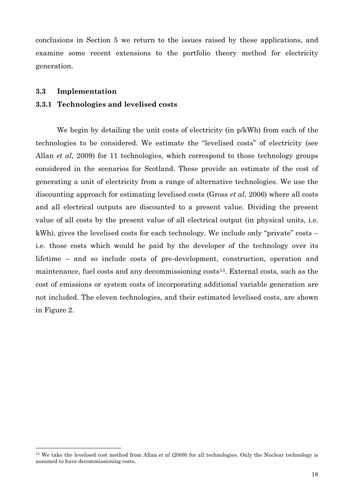conclusions in Section 5 we return to the issues raised by these applications, and examine some recent extensions to the portfolio theory method for electricity generation.

#### **3.3 Implementation**

-

#### **3.3.1 Technologies and levelised costs**

We begin by detailing the unit costs of electricity (in p/kWh) from each of the technologies to be considered. We estimate the "levelised costs" of electricity (see Allan *et al*, 2009) for 11 technologies, which correspond to those technology groups considered in the scenarios for Scotland. These provide an estimate of the cost of generating a unit of electricity from a range of alternative technologies. We use the discounting approach for estimating levelised costs (Gross *et al*, 2006) where all costs and all electrical outputs are discounted to a present value. Dividing the present value of all costs by the present value of all electrical output (in physical units, i.e. kWh), gives the levelised costs for each technology. We include only "private" costs – i.e. those costs which would be paid by the developer of the technology over its lifetime – and so include costs of pre-development, construction, operation and maintenance, fuel costs and any decommissioning cost[s13](#page-18-0). External costs, such as the cost of emissions or system costs of incorporating additional variable generation are not included. The eleven technologies, and their estimated levelised costs, are shown in Figure 2.

<span id="page-18-0"></span><sup>&</sup>lt;sup>13</sup> We take the levelised cost method from Allan *et al* (2009) for all technologies. Only the Nuclear technology is assumed to have decommissioning costs.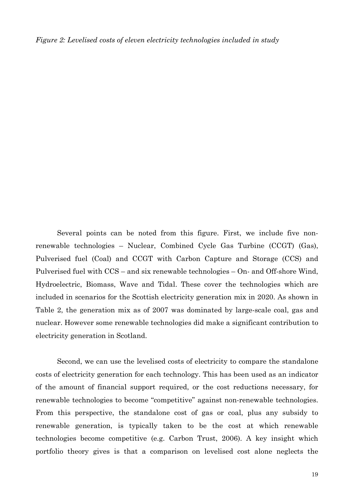*Figure 2: Levelised costs of eleven electricity technologies included in study*

Several points can be noted from this figure. First, we include five nonrenewable technologies – Nuclear, Combined Cycle Gas Turbine (CCGT) (Gas), Pulverised fuel (Coal) and CCGT with Carbon Capture and Storage (CCS) and Pulverised fuel with CCS – and six renewable technologies – On- and Off-shore Wind, Hydroelectric, Biomass, Wave and Tidal. These cover the technologies which are included in scenarios for the Scottish electricity generation mix in 2020. As shown in Table 2, the generation mix as of 2007 was dominated by large-scale coal, gas and nuclear. However some renewable technologies did make a significant contribution to electricity generation in Scotland.

Second, we can use the levelised costs of electricity to compare the standalone costs of electricity generation for each technology. This has been used as an indicator of the amount of financial support required, or the cost reductions necessary, for renewable technologies to become "competitive" against non-renewable technologies. From this perspective, the standalone cost of gas or coal, plus any subsidy to renewable generation, is typically taken to be the cost at which renewable technologies become competitive (e.g. Carbon Trust, 2006). A key insight which portfolio theory gives is that a comparison on levelised cost alone neglects the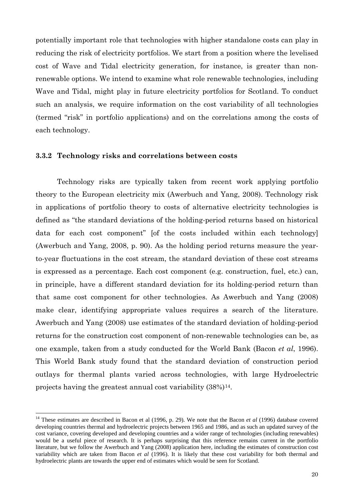potentially important role that technologies with higher standalone costs can play in reducing the risk of electricity portfolios. We start from a position where the levelised cost of Wave and Tidal electricity generation, for instance, is greater than nonrenewable options. We intend to examine what role renewable technologies, including Wave and Tidal, might play in future electricity portfolios for Scotland. To conduct such an analysis, we require information on the cost variability of all technologies (termed "risk" in portfolio applications) and on the correlations among the costs of each technology.

#### **3.3.2 Technology risks and correlations between costs**

Technology risks are typically taken from recent work applying portfolio theory to the European electricity mix (Awerbuch and Yang, 2008). Technology risk in applications of portfolio theory to costs of alternative electricity technologies is defined as "the standard deviations of the holding-period returns based on historical data for each cost component" [of the costs included within each technology] (Awerbuch and Yang, 2008, p. 90). As the holding period returns measure the yearto-year fluctuations in the cost stream, the standard deviation of these cost streams is expressed as a percentage. Each cost component (e.g. construction, fuel, etc.) can, in principle, have a different standard deviation for its holding-period return than that same cost component for other technologies. As Awerbuch and Yang (2008) make clear, identifying appropriate values requires a search of the literature. Awerbuch and Yang (2008) use estimates of the standard deviation of holding-period returns for the construction cost component of non-renewable technologies can be, as one example, taken from a study conducted for the World Bank (Bacon *et al*, 1996). This World Bank study found that the standard deviation of construction period outlays for thermal plants varied across technologies, with large Hydroelectric projects having the greatest annual cost variability (38%[\)14](#page-20-0).

<span id="page-20-0"></span><sup>&</sup>lt;sup>14</sup> These estimates are described in Bacon et al (1996, p. 29). We note that the Bacon *et al* (1996) database covered developing countries thermal and hydroelectric projects between 1965 and 1986, and as such an updated survey of the cost variance, covering developed and developing countries and a wider range of technologies (including renewables) would be a useful piece of research. It is perhaps surprising that this reference remains current in the portfolio literature, but we follow the Awerbuch and Yang (2008) application here, including the estimates of construction cost variability which are taken from Bacon *et al* (1996). It is likely that these cost variability for both thermal and hydroelectric plants are towards the upper end of estimates which would be seen for Scotland.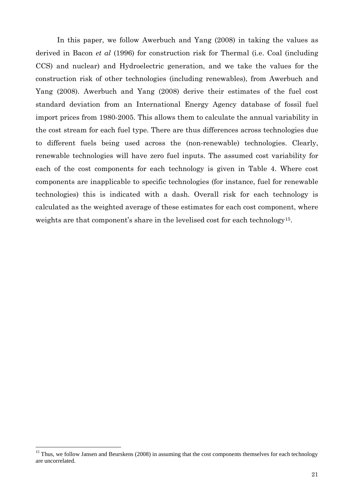In this paper, we follow Awerbuch and Yang (2008) in taking the values as derived in Bacon *et al* (1996) for construction risk for Thermal (i.e. Coal (including CCS) and nuclear) and Hydroelectric generation, and we take the values for the construction risk of other technologies (including renewables), from Awerbuch and Yang (2008). Awerbuch and Yang (2008) derive their estimates of the fuel cost standard deviation from an International Energy Agency database of fossil fuel import prices from 1980-2005. This allows them to calculate the annual variability in the cost stream for each fuel type. There are thus differences across technologies due to different fuels being used across the (non-renewable) technologies. Clearly, renewable technologies will have zero fuel inputs. The assumed cost variability for each of the cost components for each technology is given in Table 4. Where cost components are inapplicable to specific technologies (for instance, fuel for renewable technologies) this is indicated with a dash. Overall risk for each technology is calculated as the weighted average of these estimates for each cost component, where weights are that component's share in the levelised cost for each technology<sup>15</sup>.

<span id="page-21-0"></span><sup>&</sup>lt;sup>15</sup> Thus, we follow Jansen and Beurskens (2008) in assuming that the cost components themselves for each technology are uncorrelated.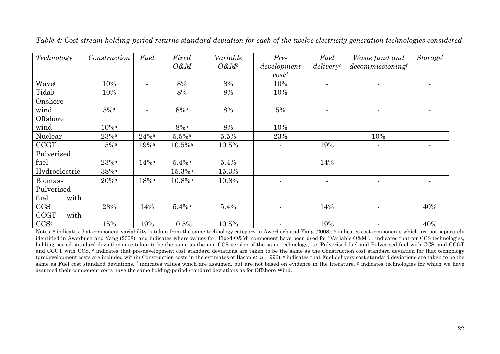| Technology          | Construction        | Fuel                | Fixed                 | Variable | Pre-              | Fuel                  | Waste fund and  | Storagef |
|---------------------|---------------------|---------------------|-----------------------|----------|-------------------|-----------------------|-----------------|----------|
|                     |                     |                     | $O\&M$                | $O\&M^b$ | development       | delivery <sup>e</sup> | decommissioning |          |
|                     |                     |                     |                       |          | cost <sup>d</sup> |                       |                 |          |
| Waves               | 10%                 |                     | 8%                    | 8%       | 10%               | $\blacksquare$        |                 |          |
| Tidals              | 10%                 |                     | 8%                    | 8%       | 10%               |                       |                 |          |
| Onshore             |                     |                     |                       |          |                   |                       |                 |          |
| wind                | $5\%$ a             |                     | $8\%$ a               | 8%       | 5%                |                       |                 |          |
| Offshore            |                     |                     |                       |          |                   |                       |                 |          |
| wind                | $10\%$ <sup>a</sup> |                     | $8\%$ a               | 8%       | 10%               | $\blacksquare$        |                 |          |
| Nuclear             | $23%$ <sup>a</sup>  | $24\%$ <sup>a</sup> | $5.5\%$ <sup>a</sup>  | 5.5%     | 23%               |                       | 10%             |          |
| <b>CCGT</b>         | $15\%$ <sup>a</sup> | $19\%$ a            | $10.5\%$ <sup>a</sup> | 10.5%    | $\blacksquare$    | 19%                   | $\blacksquare$  |          |
| Pulverised          |                     |                     |                       |          |                   |                       |                 |          |
| fuel                | $23%$ <sup>a</sup>  | $14\%$ <sup>a</sup> | $5.4\%$ <sup>a</sup>  | 5.4%     | $\blacksquare$    | 14%                   |                 |          |
| Hydroelectric       | $38\%$ <sup>a</sup> |                     | $15.3%$ a             | 15.3%    | $\blacksquare$    |                       | $\blacksquare$  |          |
| <b>Biomass</b>      | $20\%$ <sup>a</sup> | $18\%$ <sup>a</sup> | $10.8\%$ a            | 10.8%    | $\sim$            |                       |                 |          |
| Pulverised          |                     |                     |                       |          |                   |                       |                 |          |
| with<br>fuel        |                     |                     |                       |          |                   |                       |                 |          |
| CCS <sup>c</sup>    | 23%                 | 14%                 | $5.4\%$ <sup>a</sup>  | 5.4%     | $\blacksquare$    | 14%                   |                 | 40%      |
| with<br><b>CCGT</b> |                     |                     |                       |          |                   |                       |                 |          |
| CCS <sup>c</sup>    | 15%                 | 19%                 | 10.5%                 | 10.5%    |                   | 19%                   |                 | 40%      |

*Table 4: Cost stream holding-period returns standard deviation for each of the twelve electricity generation technologies considered*

Notes: a indicates that component variability is taken from the same technology category in Awerbuch and Yang (2008). b indicates cost components which are not separately identified in Awerbuch and Yang (2008), and indicates where values for "Fixed O&M" component have been used for "Variable O&M". c indicates that for CCS technologies, holding period standard deviations are taken to be the same as the non-CCS version of the same technology, i.e. Pulverised fuel and Pulverised fuel with CCS, and CCGT and CCGT with CCS. d indicates that pre-development cost standard deviations are taken to be the same as the Construction cost standard deviation for that technology (predevelopment costs are included within Construction costs in the estimates of Bacon *et al*, 1996). e indicates that Fuel delivery cost standard deviations are taken to be the same as Fuel cost standard deviations. f indicates values which are assumed, but are not based on evidence in the literature. <sup>g</sup> indicates technologies for which we have assumed their component costs have the same holding-period standard deviations as for Offshore Wind.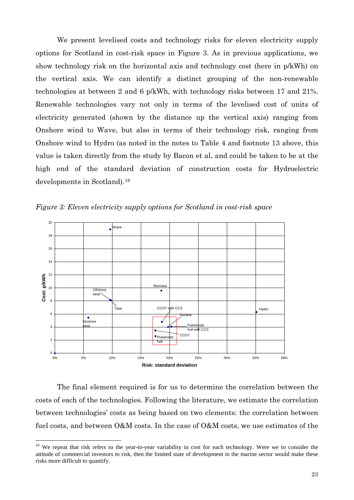We present levelised costs and technology risks for eleven electricity supply options for Scotland in cost-risk space in Figure 3. As in previous applications, we show technology risk on the horizontal axis and technology cost (here in p/kWh) on the vertical axis. We can identify a distinct grouping of the non-renewable technologies at between 2 and 6 p/kWh, with technology risks between 17 and 21%. Renewable technologies vary not only in terms of the levelised cost of units of electricity generated (shown by the distance up the vertical axis) ranging from Onshore wind to Wave, but also in terms of their technology risk, ranging from Onshore wind to Hydro (as noted in the notes to Table 4 and footnote 13 above, this value is taken directly from the study by Bacon et al, and could be taken to be at the high end of the standard deviation of construction costs for Hydroelectric developments in Scotland).[16](#page-23-0)



*Figure 3: Eleven electricity supply options for Scotland in cost-risk space*

The final element required is for us to determine the correlation between the costs of each of the technologies. Following the literature, we estimate the correlation between technologies' costs as being based on two elements: the correlation between fuel costs, and between O&M costs. In the case of O&M costs, we use estimates of the

<span id="page-23-0"></span><sup>&</sup>lt;sup>16</sup> We repeat that risk refers to the year-to-year variability in cost for each technology. Were we to consider the attitude of commercial investors to risk, then the limited state of development in the marine sector would make these risks more difficult to quantify.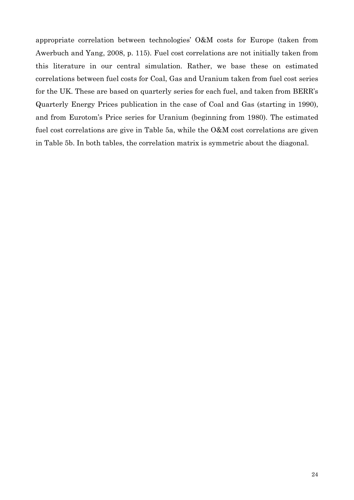appropriate correlation between technologies' O&M costs for Europe (taken from Awerbuch and Yang, 2008, p. 115). Fuel cost correlations are not initially taken from this literature in our central simulation. Rather, we base these on estimated correlations between fuel costs for Coal, Gas and Uranium taken from fuel cost series for the UK. These are based on quarterly series for each fuel, and taken from BERR's Quarterly Energy Prices publication in the case of Coal and Gas (starting in 1990), and from Eurotom's Price series for Uranium (beginning from 1980). The estimated fuel cost correlations are give in Table 5a, while the O&M cost correlations are given in Table 5b. In both tables, the correlation matrix is symmetric about the diagonal.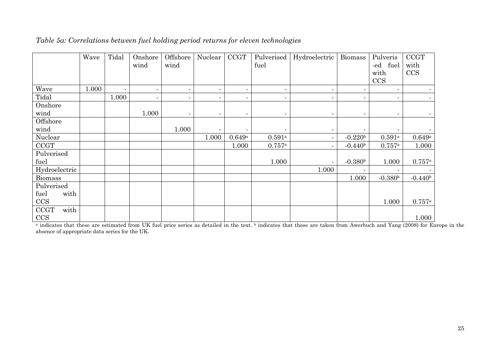|                     | Wave  | Tidal | Onshore        | Offshore       | Nuclear | <b>CCGT</b> | Pulverised | Hydroelectric | <b>Biomass</b>           | Pulveris  | <b>CCGT</b>          |
|---------------------|-------|-------|----------------|----------------|---------|-------------|------------|---------------|--------------------------|-----------|----------------------|
|                     |       |       | wind           | wind           |         |             | fuel       |               |                          | -ed fuel  | with                 |
|                     |       |       |                |                |         |             |            |               |                          | with      | <b>CCS</b>           |
|                     |       |       |                |                |         |             |            |               |                          | CCS       |                      |
| Wave                | 1.000 |       | $\blacksquare$ | $\blacksquare$ |         |             | ۰.         |               | $\overline{\phantom{a}}$ |           |                      |
| Tidal               |       | 1.000 | ٠              | ۰              |         |             |            |               |                          |           |                      |
| Onshore             |       |       |                |                |         |             |            |               |                          |           |                      |
| wind                |       |       | 1.000          | $\blacksquare$ | ٠       |             |            |               | $\overline{\phantom{a}}$ | ٠         |                      |
| Offshore            |       |       |                |                |         |             |            |               |                          |           |                      |
| wind                |       |       |                | 1.000          |         |             |            |               |                          |           |                      |
| Nuclear             |       |       |                |                | 1.000   | 0.649a      | 0.591a     |               | $-0.220b$                | 0.591a    | 0.649a               |
| <b>CCGT</b>         |       |       |                |                |         | 1.000       | 0.757a     |               | $-0.440b$                | 0.757a    | 1.000                |
| Pulverised          |       |       |                |                |         |             |            |               |                          |           |                      |
| fuel                |       |       |                |                |         |             | 1.000      | $\sim$        | $-0.380b$                | 1.000     | $0.757^{\rm a}$      |
| Hydroelectric       |       |       |                |                |         |             |            | 1.000         |                          |           |                      |
| Biomass             |       |       |                |                |         |             |            |               | 1.000                    | $-0.380b$ | $-0.440b$            |
| Pulverised          |       |       |                |                |         |             |            |               |                          |           |                      |
| fuel<br>with        |       |       |                |                |         |             |            |               |                          |           |                      |
| CCS                 |       |       |                |                |         |             |            |               |                          | 1.000     | $0.757$ <sup>a</sup> |
| with<br><b>CCGT</b> |       |       |                |                |         |             |            |               |                          |           |                      |
| CCS                 |       |       |                |                |         |             |            |               |                          |           | 1.000                |

#### *Table 5a: Correlations between fuel holding period returns for eleven technologies*

<sup>a</sup> indicates that these are estimated from UK fuel price series as detailed in the text. <sup>b</sup> indicates that these are taken from Awerbuch and Yang (2008) for Europe in the absence of appropriate data series for the UK.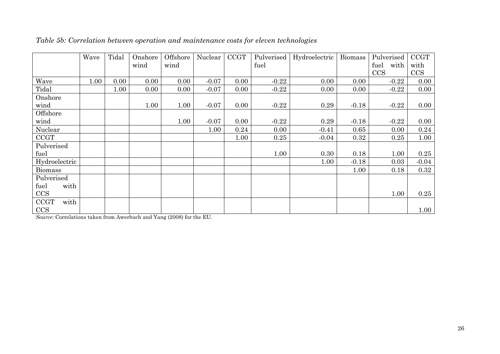|                     | Wave | Tidal | Onshore | Offshore | Nuclear | <b>CCGT</b> | Pulverised | Hydroelectric | <b>Biomass</b> | Pulverised   | <b>CCGT</b> |
|---------------------|------|-------|---------|----------|---------|-------------|------------|---------------|----------------|--------------|-------------|
|                     |      |       | wind    | wind     |         |             | fuel       |               |                | fuel<br>with | with        |
|                     |      |       |         |          |         |             |            |               |                | CCS          | <b>CCS</b>  |
| Wave                | 1.00 | 0.00  | 0.00    | 0.00     | $-0.07$ | 0.00        | $-0.22$    | 0.00          | 0.00           | $-0.22$      | 0.00        |
| Tidal               |      | 1.00  | 0.00    | 0.00     | $-0.07$ | 0.00        | $-0.22$    | 0.00          | 0.00           | $-0.22$      | 0.00        |
| Onshore             |      |       |         |          |         |             |            |               |                |              |             |
| wind                |      |       | 1.00    | 1.00     | $-0.07$ | 0.00        | $-0.22$    | 0.29          | $-0.18$        | $-0.22$      | 0.00        |
| Offshore            |      |       |         |          |         |             |            |               |                |              |             |
| wind                |      |       |         | 1.00     | $-0.07$ | 0.00        | $-0.22$    | 0.29          | $-0.18$        | $-0.22$      | 0.00        |
| Nuclear             |      |       |         |          | 1.00    | 0.24        | 0.00       | $-0.41$       | 0.65           | 0.00         | 0.24        |
| <b>CCGT</b>         |      |       |         |          |         | 1.00        | 0.25       | $-0.04$       | 0.32           | 0.25         | 1.00        |
| Pulverised          |      |       |         |          |         |             |            |               |                |              |             |
| fuel                |      |       |         |          |         |             | 1.00       | 0.30          | 0.18           | 1.00         | 0.25        |
| Hydroelectric       |      |       |         |          |         |             |            | 1.00          | $-0.18$        | 0.03         | $-0.04$     |
| <b>Biomass</b>      |      |       |         |          |         |             |            |               | 1.00           | 0.18         | 0.32        |
| Pulverised          |      |       |         |          |         |             |            |               |                |              |             |
| fuel<br>with        |      |       |         |          |         |             |            |               |                |              |             |
| <b>CCS</b>          |      |       |         |          |         |             |            |               |                | 1.00         | 0.25        |
| <b>CCGT</b><br>with |      |       |         |          |         |             |            |               |                |              |             |
| <b>CCS</b>          |      |       |         |          |         |             |            |               |                |              | 1.00        |

# *Table 5b: Correlation between operation and maintenance costs for eleven technologies*

*Source*: Correlations taken from Awerbuch and Yang (2008) for the EU.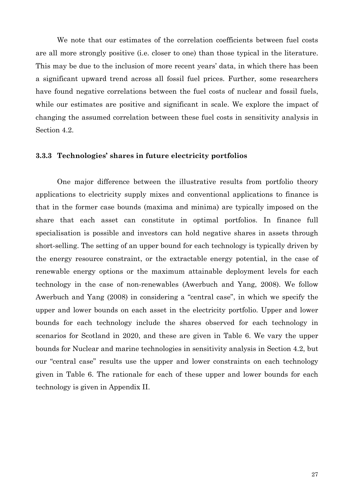We note that our estimates of the correlation coefficients between fuel costs are all more strongly positive (i.e. closer to one) than those typical in the literature. This may be due to the inclusion of more recent years' data, in which there has been a significant upward trend across all fossil fuel prices. Further, some researchers have found negative correlations between the fuel costs of nuclear and fossil fuels, while our estimates are positive and significant in scale. We explore the impact of changing the assumed correlation between these fuel costs in sensitivity analysis in Section 4.2.

#### **3.3.3 Technologies' shares in future electricity portfolios**

One major difference between the illustrative results from portfolio theory applications to electricity supply mixes and conventional applications to finance is that in the former case bounds (maxima and minima) are typically imposed on the share that each asset can constitute in optimal portfolios. In finance full specialisation is possible and investors can hold negative shares in assets through short-selling. The setting of an upper bound for each technology is typically driven by the energy resource constraint, or the extractable energy potential, in the case of renewable energy options or the maximum attainable deployment levels for each technology in the case of non-renewables (Awerbuch and Yang, 2008). We follow Awerbuch and Yang (2008) in considering a "central case", in which we specify the upper and lower bounds on each asset in the electricity portfolio. Upper and lower bounds for each technology include the shares observed for each technology in scenarios for Scotland in 2020, and these are given in Table 6. We vary the upper bounds for Nuclear and marine technologies in sensitivity analysis in Section 4.2, but our "central case" results use the upper and lower constraints on each technology given in Table 6. The rationale for each of these upper and lower bounds for each technology is given in Appendix II.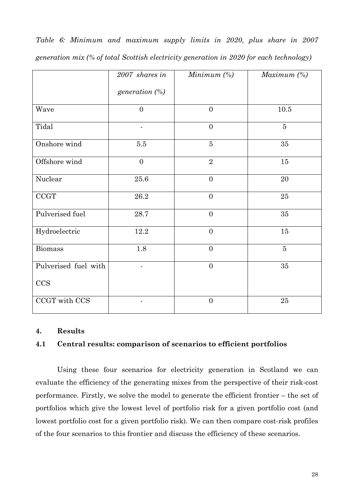|                      | 2007 shares in    | Minimum $(\%)$   | Maximum (%)    |
|----------------------|-------------------|------------------|----------------|
|                      | generation $(\%)$ |                  |                |
| Wave                 | $\overline{0}$    | $\overline{0}$   | 10.5           |
| Tidal                | $\blacksquare$    | $\overline{0}$   | $\overline{5}$ |
| Onshore wind         | $5.5\,$           | $\overline{5}$   | 35             |
| Offshore wind        | $\overline{0}$    | $\overline{2}$   | 15             |
| Nuclear              | $25.6\,$          | $\overline{0}$   | 20             |
| CCGT                 | 26.2              | $\boldsymbol{0}$ | $25\,$         |
| Pulverised fuel      | 28.7              | $\overline{0}$   | 35             |
| Hydroelectric        | $12.2\,$          | $\overline{0}$   | $15\,$         |
| <b>Biomass</b>       | $1.8\,$           | $\boldsymbol{0}$ | $\overline{5}$ |
| Pulverised fuel with | $\overline{a}$    | $\overline{0}$   | $35\,$         |
| CCS                  |                   |                  |                |
| $CCGT$ with $CCS$    |                   | $\boldsymbol{0}$ | $25\,$         |

*Table 6: Minimum and maximum supply limits in 2020, plus share in 2007 generation mix (% of total Scottish electricity generation in 2020 for each technology)*

#### **4. Results**

#### **4.1 Central results: comparison of scenarios to efficient portfolios**

Using these four scenarios for electricity generation in Scotland we can evaluate the efficiency of the generating mixes from the perspective of their risk-cost performance. Firstly, we solve the model to generate the efficient frontier – the set of portfolios which give the lowest level of portfolio risk for a given portfolio cost (and lowest portfolio cost for a given portfolio risk). We can then compare cost-risk profiles of the four scenarios to this frontier and discuss the efficiency of these scenarios.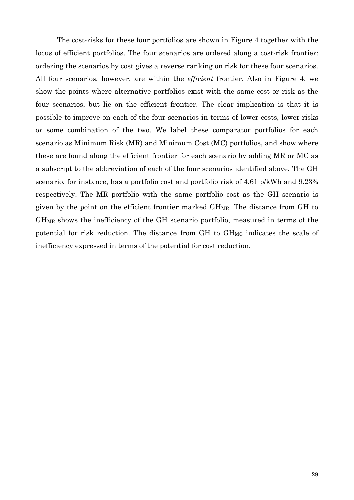The cost-risks for these four portfolios are shown in Figure 4 together with the locus of efficient portfolios. The four scenarios are ordered along a cost-risk frontier: ordering the scenarios by cost gives a reverse ranking on risk for these four scenarios. All four scenarios, however, are within the *efficient* frontier. Also in Figure 4, we show the points where alternative portfolios exist with the same cost or risk as the four scenarios, but lie on the efficient frontier. The clear implication is that it is possible to improve on each of the four scenarios in terms of lower costs, lower risks or some combination of the two. We label these comparator portfolios for each scenario as Minimum Risk (MR) and Minimum Cost (MC) portfolios, and show where these are found along the efficient frontier for each scenario by adding MR or MC as a subscript to the abbreviation of each of the four scenarios identified above. The GH scenario, for instance, has a portfolio cost and portfolio risk of 4.61 p/kWh and 9.23% respectively. The MR portfolio with the same portfolio cost as the GH scenario is given by the point on the efficient frontier marked GHMR. The distance from GH to GHMR shows the inefficiency of the GH scenario portfolio, measured in terms of the potential for risk reduction. The distance from  $GH$  to  $GH_{MC}$  indicates the scale of inefficiency expressed in terms of the potential for cost reduction.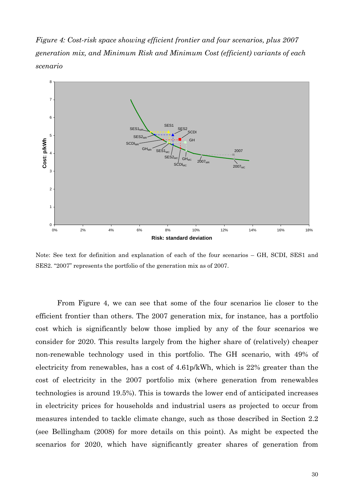*Figure 4: Cost-risk space showing efficient frontier and four scenarios, plus 2007 generation mix, and Minimum Risk and Minimum Cost (efficient) variants of each scenario*



Note: See text for definition and explanation of each of the four scenarios – GH, SCDI, SES1 and SES2. "2007" represents the portfolio of the generation mix as of 2007.

From Figure 4, we can see that some of the four scenarios lie closer to the efficient frontier than others. The 2007 generation mix, for instance, has a portfolio cost which is significantly below those implied by any of the four scenarios we consider for 2020. This results largely from the higher share of (relatively) cheaper non-renewable technology used in this portfolio. The GH scenario, with 49% of electricity from renewables, has a cost of 4.61p/kWh, which is 22% greater than the cost of electricity in the 2007 portfolio mix (where generation from renewables technologies is around 19.5%). This is towards the lower end of anticipated increases in electricity prices for households and industrial users as projected to occur from measures intended to tackle climate change, such as those described in Section 2.2 (see Bellingham (2008) for more details on this point). As might be expected the scenarios for 2020, which have significantly greater shares of generation from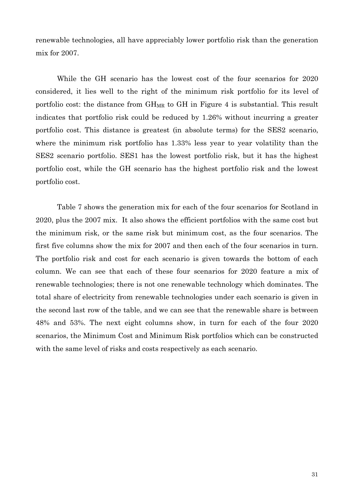renewable technologies, all have appreciably lower portfolio risk than the generation mix for 2007.

While the GH scenario has the lowest cost of the four scenarios for 2020 considered, it lies well to the right of the minimum risk portfolio for its level of portfolio cost: the distance from  $\rm GH_{MR}$  to  $\rm GH$  in Figure 4 is substantial. This result indicates that portfolio risk could be reduced by 1.26% without incurring a greater portfolio cost. This distance is greatest (in absolute terms) for the SES2 scenario, where the minimum risk portfolio has 1.33% less year to year volatility than the SES2 scenario portfolio. SES1 has the lowest portfolio risk, but it has the highest portfolio cost, while the GH scenario has the highest portfolio risk and the lowest portfolio cost.

Table 7 shows the generation mix for each of the four scenarios for Scotland in 2020, plus the 2007 mix. It also shows the efficient portfolios with the same cost but the minimum risk, or the same risk but minimum cost, as the four scenarios. The first five columns show the mix for 2007 and then each of the four scenarios in turn. The portfolio risk and cost for each scenario is given towards the bottom of each column. We can see that each of these four scenarios for 2020 feature a mix of renewable technologies; there is not one renewable technology which dominates. The total share of electricity from renewable technologies under each scenario is given in the second last row of the table, and we can see that the renewable share is between 48% and 53%. The next eight columns show, in turn for each of the four 2020 scenarios, the Minimum Cost and Minimum Risk portfolios which can be constructed with the same level of risks and costs respectively as each scenario.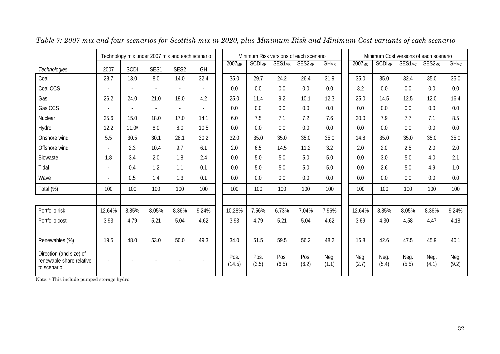|                                                                    |                          |                   |       | Technology mix under 2007 mix and each scenario |                          | Minimum Risk versions of each scenario |               |                    |                    |               |                    | Minimum Cost versions of each scenario |                                |                    |               |
|--------------------------------------------------------------------|--------------------------|-------------------|-------|-------------------------------------------------|--------------------------|----------------------------------------|---------------|--------------------|--------------------|---------------|--------------------|----------------------------------------|--------------------------------|--------------------|---------------|
| Technologies                                                       | 2007                     | <b>SCDI</b>       | SES1  | SES <sub>2</sub>                                | <b>GH</b>                | 2007 <sub>MR</sub>                     | <b>SCDIMR</b> | SES <sub>1MR</sub> | SES2 <sub>MR</sub> | <b>GHMR</b>   | 2007 <sub>MC</sub> | <b>SCDIMR</b>                          | SES <sub>1</sub> <sub>MC</sub> | SES2 <sub>MC</sub> | <b>GHMC</b>   |
| Coal                                                               | 28.7                     | 13.0              | 8.0   | 14.0                                            | 32.4                     | 35.0                                   | 29.7          | 24.2               | 26.4               | 31.9          | 35.0               | 35.0                                   | 32.4                           | 35.0               | 35.0          |
| Coal CCS                                                           |                          |                   |       |                                                 | $\overline{\phantom{a}}$ | 0.0                                    | 0.0           | 0.0                | 0.0                | 0.0           | 3.2                | 0.0                                    | 0.0                            | 0.0                | 0.0           |
| Gas                                                                | 26.2                     | 24.0              | 21.0  | 19.0                                            | 4.2                      | 25.0                                   | 11.4          | 9.2                | 10.1               | 12.3          | 25.0               | 14.5                                   | 12.5                           | 12.0               | 16.4          |
| Gas CCS                                                            |                          |                   |       |                                                 | $\blacksquare$           | 0.0                                    | 0.0           | 0.0                | 0.0                | 0.0           | 0.0                | 0.0                                    | 0.0                            | 0.0                | 0.0           |
| Nuclear                                                            | 25.6                     | 15.0              | 18.0  | 17.0                                            | 14.1                     | 6.0                                    | 7.5           | 7.1                | 7.2                | 7.6           | 20.0               | 7.9                                    | 7.7                            | 7.1                | 8.5           |
| Hydro                                                              | 12.2                     | 11.0 <sup>a</sup> | 8.0   | 8.0                                             | 10.5                     | 0.0                                    | 0.0           | 0.0                | 0.0                | 0.0           | 0.0                | 0.0                                    | 0.0                            | 0.0                | 0.0           |
| Onshore wind                                                       | 5.5                      | 30.5              | 30.1  | 28.1                                            | 30.2                     | 32.0                                   | 35.0          | 35.0               | 35.0               | 35.0          | 14.8               | 35.0                                   | 35.0                           | 35.0               | 35.0          |
| Offshore wind                                                      | $\overline{\phantom{a}}$ | 2.3               | 10.4  | 9.7                                             | 6.1                      | 2.0                                    | 6.5           | 14.5               | 11.2               | 3.2           | 2.0                | 2.0                                    | 2.5                            | 2.0                | 2.0           |
| Biowaste                                                           | 1.8                      | 3.4               | 2.0   | 1.8                                             | 2.4                      | 0.0                                    | 5.0           | 5.0                | 5.0                | 5.0           | 0.0                | 3.0                                    | 5.0                            | 4.0                | 2.1           |
| Tidal                                                              |                          | 0.4               | 1.2   | 1.1                                             | 0.1                      | 0.0                                    | 5.0           | 5.0                | 5.0                | 5.0           | 0.0                | 2.6                                    | 5.0                            | 4.9                | 1.0           |
| Wave                                                               | $\overline{\phantom{a}}$ | 0.5               | 1.4   | 1.3                                             | 0.1                      | 0.0                                    | 0.0           | 0.0                | 0.0                | 0.0           | 0.0                | 0.0                                    | 0.0                            | 0.0                | 0.0           |
| Total (%)                                                          | 100                      | 100               | 100   | 100                                             | 100                      | 100                                    | 100           | 100                | 100                | 100           | 100                | 100                                    | 100                            | 100                | 100           |
|                                                                    |                          |                   |       |                                                 |                          |                                        |               |                    |                    |               |                    |                                        |                                |                    |               |
| Portfolio risk                                                     | 12.64%                   | 8.85%             | 8.05% | 8.36%                                           | 9.24%                    | 10.28%                                 | 7.56%         | 6.73%              | 7.04%              | 7.96%         | 12.64%             | 8.85%                                  | 8.05%                          | 8.36%              | 9.24%         |
| Portfolio cost                                                     | 3.93                     | 4.79              | 5.21  | 5.04                                            | 4.62                     | 3.93                                   | 4.79          | 5.21               | 5.04               | 4.62          | 3.69               | 4.30                                   | 4.58                           | 4.47               | 4.18          |
|                                                                    |                          |                   |       |                                                 |                          |                                        |               |                    |                    |               |                    |                                        |                                |                    |               |
| Renewables (%)                                                     | 19.5                     | 48.0              | 53.0  | 50.0                                            | 49.3                     | 34.0                                   | 51.5          | 59.5               | 56.2               | 48.2          | 16.8               | 42.6                                   | 47.5                           | 45.9               | 40.1          |
| Direction (and size) of<br>renewable share relative<br>to scenario | $\blacksquare$           |                   |       |                                                 |                          | Pos.<br>(14.5)                         | Pos.<br>(3.5) | Pos.<br>(6.5)      | Pos.<br>(6.2)      | Neg.<br>(1.1) | Neg.<br>(2.7)      | Neg.<br>(5.4)                          | Neg.<br>(5.5)                  | Neg.<br>(4.1)      | Neg.<br>(9.2) |

*Table 7: 2007 mix and four scenarios for Scottish mix in 2020, plus Minimum Risk and Minimum Cost variants of each scenario*

Note: a This include pumped storage hydro.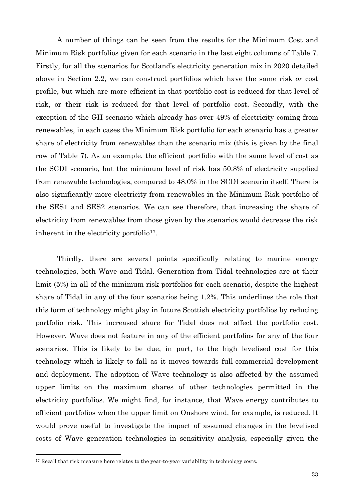A number of things can be seen from the results for the Minimum Cost and Minimum Risk portfolios given for each scenario in the last eight columns of Table 7. Firstly, for all the scenarios for Scotland's electricity generation mix in 2020 detailed above in Section 2.2, we can construct portfolios which have the same risk *or* cost profile, but which are more efficient in that portfolio cost is reduced for that level of risk, or their risk is reduced for that level of portfolio cost. Secondly, with the exception of the GH scenario which already has over 49% of electricity coming from renewables, in each cases the Minimum Risk portfolio for each scenario has a greater share of electricity from renewables than the scenario mix (this is given by the final row of Table 7). As an example, the efficient portfolio with the same level of cost as the SCDI scenario, but the minimum level of risk has 50.8% of electricity supplied from renewable technologies, compared to 48.0% in the SCDI scenario itself. There is also significantly more electricity from renewables in the Minimum Risk portfolio of the SES1 and SES2 scenarios. We can see therefore, that increasing the share of electricity from renewables from those given by the scenarios would decrease the risk inherent in the electricity portfolio<sup>[17](#page-33-0)</sup>.

Thirdly, there are several points specifically relating to marine energy technologies, both Wave and Tidal. Generation from Tidal technologies are at their limit (5%) in all of the minimum risk portfolios for each scenario, despite the highest share of Tidal in any of the four scenarios being 1.2%. This underlines the role that this form of technology might play in future Scottish electricity portfolios by reducing portfolio risk. This increased share for Tidal does not affect the portfolio cost. However, Wave does not feature in any of the efficient portfolios for any of the four scenarios. This is likely to be due, in part, to the high levelised cost for this technology which is likely to fall as it moves towards full-commercial development and deployment. The adoption of Wave technology is also affected by the assumed upper limits on the maximum shares of other technologies permitted in the electricity portfolios. We might find, for instance, that Wave energy contributes to efficient portfolios when the upper limit on Onshore wind, for example, is reduced. It would prove useful to investigate the impact of assumed changes in the levelised costs of Wave generation technologies in sensitivity analysis, especially given the

<u>.</u>

<span id="page-33-0"></span> $17$  Recall that risk measure here relates to the year-to-year variability in technology costs.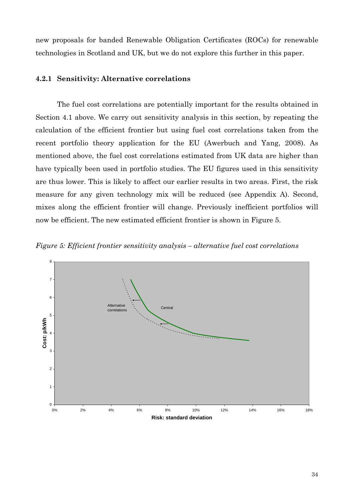new proposals for banded Renewable Obligation Certificates (ROCs) for renewable technologies in Scotland and UK, but we do not explore this further in this paper.

#### **4.2.1 Sensitivity: Alternative correlations**

The fuel cost correlations are potentially important for the results obtained in Section 4.1 above. We carry out sensitivity analysis in this section, by repeating the calculation of the efficient frontier but using fuel cost correlations taken from the recent portfolio theory application for the EU (Awerbuch and Yang, 2008). As mentioned above, the fuel cost correlations estimated from UK data are higher than have typically been used in portfolio studies. The EU figures used in this sensitivity are thus lower. This is likely to affect our earlier results in two areas. First, the risk measure for any given technology mix will be reduced (see Appendix A). Second, mixes along the efficient frontier will change. Previously inefficient portfolios will now be efficient. The new estimated efficient frontier is shown in Figure 5.



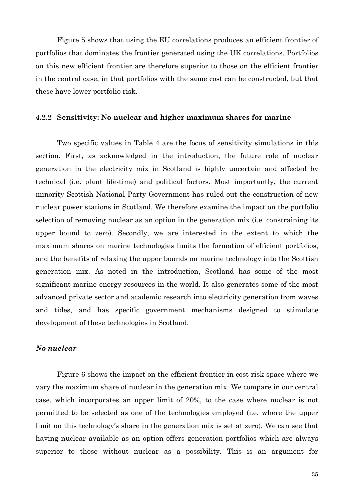Figure 5 shows that using the EU correlations produces an efficient frontier of portfolios that dominates the frontier generated using the UK correlations. Portfolios on this new efficient frontier are therefore superior to those on the efficient frontier in the central case, in that portfolios with the same cost can be constructed, but that these have lower portfolio risk.

#### **4.2.2 Sensitivity: No nuclear and higher maximum shares for marine**

Two specific values in Table 4 are the focus of sensitivity simulations in this section. First, as acknowledged in the introduction, the future role of nuclear generation in the electricity mix in Scotland is highly uncertain and affected by technical (i.e. plant life-time) and political factors. Most importantly, the current minority Scottish National Party Government has ruled out the construction of new nuclear power stations in Scotland. We therefore examine the impact on the portfolio selection of removing nuclear as an option in the generation mix (i.e. constraining its upper bound to zero). Secondly, we are interested in the extent to which the maximum shares on marine technologies limits the formation of efficient portfolios, and the benefits of relaxing the upper bounds on marine technology into the Scottish generation mix. As noted in the introduction, Scotland has some of the most significant marine energy resources in the world. It also generates some of the most advanced private sector and academic research into electricity generation from waves and tides, and has specific government mechanisms designed to stimulate development of these technologies in Scotland.

#### *No nuclear*

Figure 6 shows the impact on the efficient frontier in cost-risk space where we vary the maximum share of nuclear in the generation mix. We compare in our central case, which incorporates an upper limit of 20%, to the case where nuclear is not permitted to be selected as one of the technologies employed (i.e. where the upper limit on this technology's share in the generation mix is set at zero). We can see that having nuclear available as an option offers generation portfolios which are always superior to those without nuclear as a possibility. This is an argument for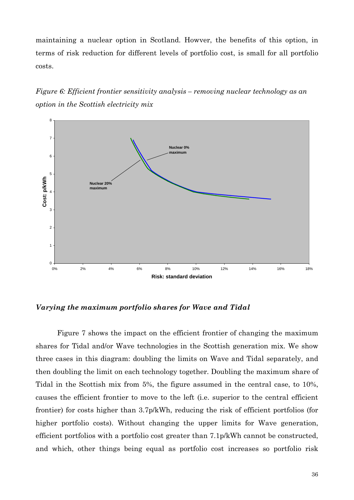maintaining a nuclear option in Scotland. Howver, the benefits of this option, in terms of risk reduction for different levels of portfolio cost, is small for all portfolio costs.





*Varying the maximum portfolio shares for Wave and Tidal*

Figure 7 shows the impact on the efficient frontier of changing the maximum shares for Tidal and/or Wave technologies in the Scottish generation mix. We show three cases in this diagram: doubling the limits on Wave and Tidal separately, and then doubling the limit on each technology together. Doubling the maximum share of Tidal in the Scottish mix from 5%, the figure assumed in the central case, to 10%, causes the efficient frontier to move to the left (i.e. superior to the central efficient frontier) for costs higher than 3.7p/kWh, reducing the risk of efficient portfolios (for higher portfolio costs). Without changing the upper limits for Wave generation, efficient portfolios with a portfolio cost greater than 7.1p/kWh cannot be constructed, and which, other things being equal as portfolio cost increases so portfolio risk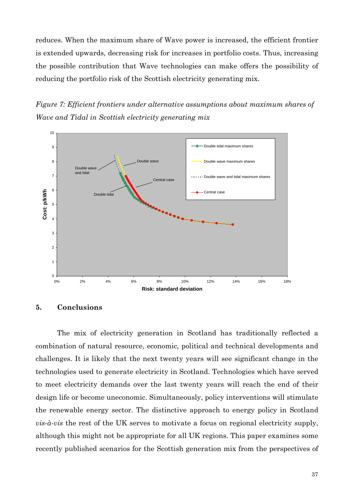reduces. When the maximum share of Wave power is increased, the efficient frontier is extended upwards, decreasing risk for increases in portfolio costs. Thus, increasing the possible contribution that Wave technologies can make offers the possibility of reducing the portfolio risk of the Scottish electricity generating mix.





#### **5. Conclusions**

The mix of electricity generation in Scotland has traditionally reflected a combination of natural resource, economic, political and technical developments and challenges. It is likely that the next twenty years will see significant change in the technologies used to generate electricity in Scotland. Technologies which have served to meet electricity demands over the last twenty years will reach the end of their design life or become uneconomic. Simultaneously, policy interventions will stimulate the renewable energy sector. The distinctive approach to energy policy in Scotland *vis-à-vis* the rest of the UK serves to motivate a focus on regional electricity supply, although this might not be appropriate for all UK regions. This paper examines some recently published scenarios for the Scottish generation mix from the perspectives of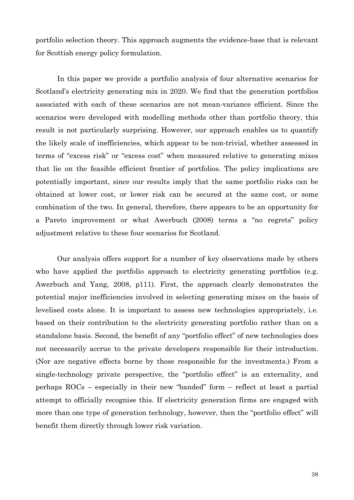portfolio selection theory. This approach augments the evidence-base that is relevant for Scottish energy policy formulation.

In this paper we provide a portfolio analysis of four alternative scenarios for Scotland's electricity generating mix in 2020. We find that the generation portfolios associated with each of these scenarios are not mean-variance efficient. Since the scenarios were developed with modelling methods other than portfolio theory, this result is not particularly surprising. However, our approach enables us to quantify the likely scale of inefficiencies, which appear to be non-trivial, whether assessed in terms of "excess risk" or "excess cost" when measured relative to generating mixes that lie on the feasible efficient frontier of portfolios. The policy implications are potentially important, since our results imply that the same portfolio risks can be obtained at lower cost, or lower risk can be secured at the same cost, or some combination of the two. In general, therefore, there appears to be an opportunity for a Pareto improvement or what Awerbuch (2008) terms a "no regrets" policy adjustment relative to these four scenarios for Scotland.

Our analysis offers support for a number of key observations made by others who have applied the portfolio approach to electricity generating portfolios (e.g. Awerbuch and Yang, 2008, p111). First, the approach clearly demonstrates the potential major inefficiencies involved in selecting generating mixes on the basis of levelised costs alone. It is important to assess new technologies appropriately, i.e. based on their contribution to the electricity generating portfolio rather than on a standalone basis. Second, the benefit of any "portfolio effect" of new technologies does not necessarily accrue to the private developers responsible for their introduction. (Nor are negative effects borne by those responsible for the investments.) From a single-technology private perspective, the "portfolio effect" is an externality, and perhaps ROCs – especially in their new "banded" form – reflect at least a partial attempt to officially recognise this. If electricity generation firms are engaged with more than one type of generation technology, however, then the "portfolio effect" will benefit them directly through lower risk variation.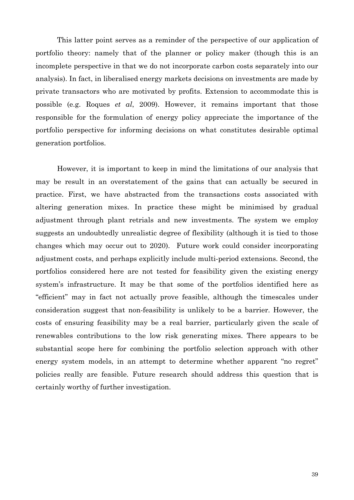This latter point serves as a reminder of the perspective of our application of portfolio theory: namely that of the planner or policy maker (though this is an incomplete perspective in that we do not incorporate carbon costs separately into our analysis). In fact, in liberalised energy markets decisions on investments are made by private transactors who are motivated by profits. Extension to accommodate this is possible (e.g. Roques *et al*, 2009). However, it remains important that those responsible for the formulation of energy policy appreciate the importance of the portfolio perspective for informing decisions on what constitutes desirable optimal generation portfolios.

However, it is important to keep in mind the limitations of our analysis that may be result in an overstatement of the gains that can actually be secured in practice. First, we have abstracted from the transactions costs associated with altering generation mixes. In practice these might be minimised by gradual adjustment through plant retrials and new investments. The system we employ suggests an undoubtedly unrealistic degree of flexibility (although it is tied to those changes which may occur out to 2020). Future work could consider incorporating adjustment costs, and perhaps explicitly include multi-period extensions. Second, the portfolios considered here are not tested for feasibility given the existing energy system's infrastructure. It may be that some of the portfolios identified here as "efficient" may in fact not actually prove feasible, although the timescales under consideration suggest that non-feasibility is unlikely to be a barrier. However, the costs of ensuring feasibility may be a real barrier, particularly given the scale of renewables contributions to the low risk generating mixes. There appears to be substantial scope here for combining the portfolio selection approach with other energy system models, in an attempt to determine whether apparent "no regret" policies really are feasible. Future research should address this question that is certainly worthy of further investigation.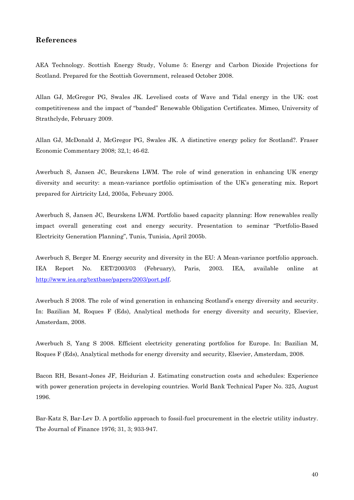#### **References**

AEA Technology. Scottish Energy Study, Volume 5: Energy and Carbon Dioxide Projections for Scotland. Prepared for the Scottish Government, released October 2008.

Allan GJ, McGregor PG, Swales JK. Levelised costs of Wave and Tidal energy in the UK: cost competitiveness and the impact of "banded" Renewable Obligation Certificates. Mimeo, University of Strathclyde, February 2009.

Allan GJ, McDonald J, McGregor PG, Swales JK. A distinctive energy policy for Scotland?. Fraser Economic Commentary 2008; 32,1; 46-62.

Awerbuch S, Jansen JC, Beurskens LWM. The role of wind generation in enhancing UK energy diversity and security: a mean-variance portfolio optimisation of the UK's generating mix. Report prepared for Airtricity Ltd, 2005a, February 2005.

Awerbuch S, Jansen JC, Beurskens LWM. Portfolio based capacity planning: How renewables really impact overall generating cost and energy security. Presentation to seminar "Portfolio-Based Electricity Generation Planning", Tunis, Tunisia, April 2005b.

Awerbuch S, Berger M. Energy security and diversity in the EU: A Mean-variance portfolio approach. IEA Report No. EET/2003/03 (February), Paris, 2003. IEA, available online at [http://www.iea.org/textbase/papers/2003/port.pdf.](http://www.iea.org/textbase/papers/2003/port.pdf)

Awerbuch S 2008. The role of wind generation in enhancing Scotland's energy diversity and security. In: Bazilian M, Roques F (Eds), Analytical methods for energy diversity and security, Elsevier, Amsterdam, 2008.

Awerbuch S, Yang S 2008. Efficient electricity generating portfolios for Europe. In: Bazilian M, Roques F (Eds), Analytical methods for energy diversity and security, Elsevier, Amsterdam, 2008.

Bacon RH, Besant-Jones JF, Heidurian J. Estimating construction costs and schedules: Experience with power generation projects in developing countries. World Bank Technical Paper No. 325, August 1996.

Bar-Katz S, Bar-Lev D. A portfolio approach to fossil-fuel procurement in the electric utility industry. The Journal of Finance 1976; 31, 3; 933-947.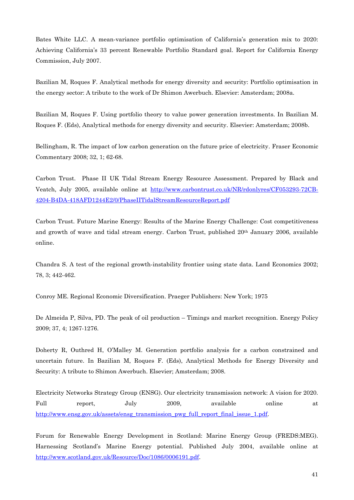Bates White LLC. A mean-variance portfolio optimisation of California's generation mix to 2020: Achieving California's 33 percent Renewable Portfolio Standard goal. Report for California Energy Commission, July 2007.

Bazilian M, Roques F. Analytical methods for energy diversity and security: Portfolio optimisation in the energy sector: A tribute to the work of Dr Shimon Awerbuch. Elsevier: Amsterdam; 2008a.

Bazilian M, Roques F. Using portfolio theory to value power generation investments. In Bazilian M. Roques F. (Eds), Analytical methods for energy diversity and security. Elsevier: Amsterdam; 2008b.

Bellingham, R. The impact of low carbon generation on the future price of electricity. Fraser Economic Commentary 2008; 32, 1; 62-68.

Carbon Trust. Phase II UK Tidal Stream Energy Resource Assessment. Prepared by Black and Veatch, July 2005, available online at [http://www.carbontrust.co.uk/NR/rdonlyres/CF053293-72CB-](http://www.carbontrust.co.uk/NR/rdonlyres/CF053293-72CB-4204-B4DA-418AFD1244E2/0/PhaseIITidalStreamResourceReport.pdf)[4204-B4DA-418AFD1244E2/0/PhaseIITidalStreamResourceReport.pdf](http://www.carbontrust.co.uk/NR/rdonlyres/CF053293-72CB-4204-B4DA-418AFD1244E2/0/PhaseIITidalStreamResourceReport.pdf)

Carbon Trust. Future Marine Energy: Results of the Marine Energy Challenge: Cost competitiveness and growth of wave and tidal stream energy. Carbon Trust, published 20th January 2006, available online.

Chandra S. A test of the regional growth-instability frontier using state data. Land Economics 2002; 78, 3; 442-462.

Conroy ME. Regional Economic Diversification. Praeger Publishers: New York; 1975

De Almeida P, Silva, PD. The peak of oil production – Timings and market recognition. Energy Policy 2009; 37, 4; 1267-1276.

Doherty R, Outhred H, O'Malley M. Generation portfolio analysis for a carbon constrained and uncertain future. In Bazilian M, Roques F. (Eds), Analytical Methods for Energy Diversity and Security: A tribute to Shimon Awerbuch. Elsevier; Amsterdam; 2008.

Electricity Networks Strategy Group (ENSG). Our electricity transmission network: A vision for 2020. Full report, July 2009, available online at [http://www.ensg.gov.uk/assets/ensg\\_transmission\\_pwg\\_full\\_report\\_final\\_issue\\_1.pdf.](http://www.ensg.gov.uk/assets/ensg_transmission_pwg_full_report_final_issue_1.pdf)

Forum for Renewable Energy Development in Scotland: Marine Energy Group (FREDS:MEG). Harnessing Scotland's Marine Energy potential. Published July 2004, available online at [http://www.scotland.gov.uk/Resource/Doc/1086/0006191.pdf.](http://www.scotland.gov.uk/Resource/Doc/1086/0006191.pdf)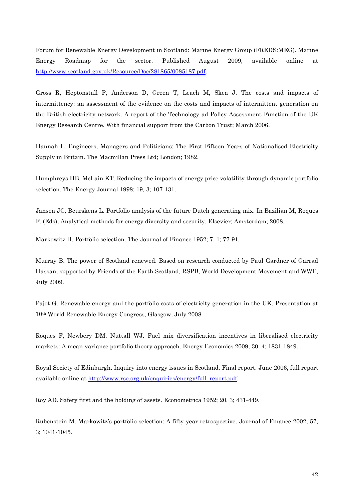Forum for Renewable Energy Development in Scotland: Marine Energy Group (FREDS:MEG). Marine Energy Roadmap for the sector. Published August 2009, available online at [http://www.scotland.gov.uk/Resource/Doc/281865/0085187.pdf.](http://www.scotland.gov.uk/Resource/Doc/281865/0085187.pdf)

Gross R, Heptonstall P, Anderson D, Green T, Leach M, Skea J. The costs and impacts of intermittency: an assessment of the evidence on the costs and impacts of intermittent generation on the British electricity network. A report of the Technology ad Policy Assessment Function of the UK Energy Research Centre. With financial support from the Carbon Trust; March 2006.

Hannah L. Engineers, Managers and Politicians: The First Fifteen Years of Nationalised Electricity Supply in Britain. The Macmillan Press Ltd; London; 1982.

Humphreys HB, McLain KT. Reducing the impacts of energy price volatility through dynamic portfolio selection. The Energy Journal 1998; 19, 3; 107-131.

Jansen JC, Beurskens L. Portfolio analysis of the future Dutch generating mix. In Bazilian M, Roques F. (Eds), Analytical methods for energy diversity and security. Elsevier; Amsterdam; 2008.

Markowitz H. Portfolio selection. The Journal of Finance 1952; 7, 1; 77-91.

Murray B. The power of Scotland renewed. Based on research conducted by Paul Gardner of Garrad Hassan, supported by Friends of the Earth Scotland, RSPB, World Development Movement and WWF, July 2009.

Pajot G. Renewable energy and the portfolio costs of electricity generation in the UK. Presentation at 10th World Renewable Energy Congress, Glasgow, July 2008.

Roques F, Newbery DM, Nuttall WJ. Fuel mix diversification incentives in liberalised electricity markets: A mean-variance portfolio theory approach. Energy Economics 2009; 30, 4; 1831-1849.

Royal Society of Edinburgh. Inquiry into energy issues in Scotland, Final report. June 2006, full report available online at [http://www.rse.org.uk/enquiries/energy/full\\_report.pdf.](http://www.rse.org.uk/enquiries/energy/full_report.pdf)

Roy AD. Safety first and the holding of assets. Econometrica 1952; 20, 3; 431-449.

Rubenstein M. Markowitz's portfolio selection: A fifty-year retrospective. Journal of Finance 2002; 57, 3; 1041-1045.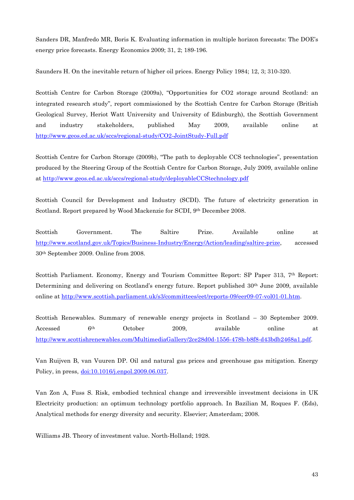Sanders DR, Manfredo MR, Boris K. Evaluating information in multiple horizon forecasts: The DOE's energy price forecasts. Energy Economics 2009; 31, 2; 189-196.

Saunders H. On the inevitable return of higher oil prices. Energy Policy 1984; 12, 3; 310-320.

Scottish Centre for Carbon Storage (2009a), "Opportunities for CO2 storage around Scotland: an integrated research study", report commissioned by the Scottish Centre for Carbon Storage (British Geological Survey, Heriot Watt University and University of Edinburgh), the Scottish Government and industry stakeholders, published May 2009, available online at <http://www.geos.ed.ac.uk/sccs/regional-study/CO2-JointStudy-Full.pdf>

Scottish Centre for Carbon Storage (2009b), "The path to deployable CCS technologies", presentation produced by the Steering Group of the Scottish Centre for Carbon Storage, July 2009, available online at<http://www.geos.ed.ac.uk/sccs/regional-study/deployableCCStechnology.pdf>

Scottish Council for Development and Industry (SCDI). The future of electricity generation in Scotland. Report prepared by Wood Mackenzie for SCDI, 9th December 2008.

Scottish Government. The Saltire Prize. Available online at [http://www.scotland.gov.uk/Topics/Business-Industry/Energy/Action/leading/saltire-prize,](http://www.scotland.gov.uk/Topics/Business-Industry/Energy/Action/leading/saltire-prize) accessed 30th September 2009. Online from 2008.

Scottish Parliament. Economy, Energy and Tourism Committee Report: SP Paper 313, 7th Report: Determining and delivering on Scotland's energy future. Report published 30th June 2009, available online at [http://www.scottish.parliament.uk/s3/committees/eet/reports-09/eer09-07-vol01-01.htm.](http://www.scottish.parliament.uk/s3/committees/eet/reports-09/eer09-07-vol01-01.htm)

Scottish Renewables. Summary of renewable energy projects in Scotland – 30 September 2009. Accessed 6th October 2009, available online at [http://www.scottishrenewables.com/MultimediaGallery/2ce28d0d-1556-478b-b8f8-d43bdb2468a1.pdf.](http://www.scottishrenewables.com/MultimediaGallery/2ce28d0d-1556-478b-b8f8-d43bdb2468a1.pdf)

Van Ruijven B, van Vuuren DP. Oil and natural gas prices and greenhouse gas mitigation. Energy Policy, in press, doi:10.1016/j.enpol.2009.06.037.

Van Zon A, Fuss S. Risk, embodied technical change and irreversible investment decisions in UK Electricity production: an optimum technology portfolio approach. In Bazilian M, Roques F. (Eds), Analytical methods for energy diversity and security. Elsevier; Amsterdam; 2008.

Williams JB. Theory of investment value. North-Holland; 1928.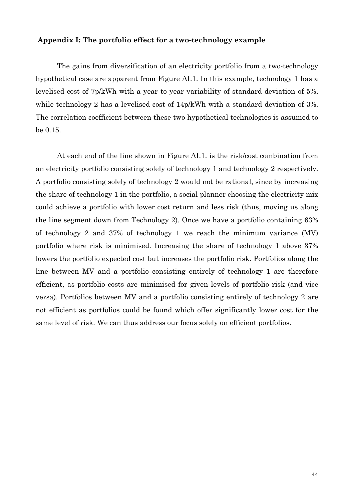#### **Appendix I: The portfolio effect for a two-technology example**

The gains from diversification of an electricity portfolio from a two-technology hypothetical case are apparent from Figure AI.1. In this example, technology 1 has a levelised cost of 7p/kWh with a year to year variability of standard deviation of 5%, while technology 2 has a levelised cost of 14p/kWh with a standard deviation of 3%. The correlation coefficient between these two hypothetical technologies is assumed to be 0.15.

At each end of the line shown in Figure AI.1. is the risk/cost combination from an electricity portfolio consisting solely of technology 1 and technology 2 respectively. A portfolio consisting solely of technology 2 would not be rational, since by increasing the share of technology 1 in the portfolio, a social planner choosing the electricity mix could achieve a portfolio with lower cost return and less risk (thus, moving us along the line segment down from Technology 2). Once we have a portfolio containing 63% of technology 2 and 37% of technology 1 we reach the minimum variance (MV) portfolio where risk is minimised. Increasing the share of technology 1 above 37% lowers the portfolio expected cost but increases the portfolio risk. Portfolios along the line between MV and a portfolio consisting entirely of technology 1 are therefore efficient, as portfolio costs are minimised for given levels of portfolio risk (and vice versa). Portfolios between MV and a portfolio consisting entirely of technology 2 are not efficient as portfolios could be found which offer significantly lower cost for the same level of risk. We can thus address our focus solely on efficient portfolios.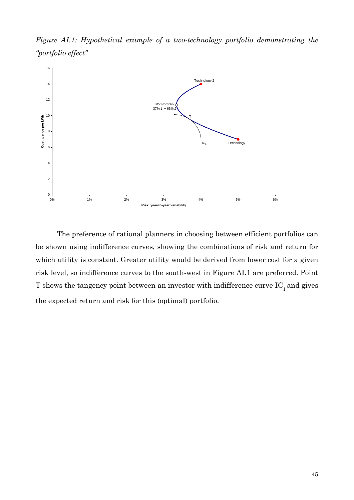*Figure AI.1: Hypothetical example of a two-technology portfolio demonstrating the "portfolio effect"*



The preference of rational planners in choosing between efficient portfolios can be shown using indifference curves, showing the combinations of risk and return for which utility is constant. Greater utility would be derived from lower cost for a given risk level, so indifference curves to the south-west in Figure AI.1 are preferred. Point T shows the tangency point between an investor with indifference curve  $IC_1$  and gives the expected return and risk for this (optimal) portfolio.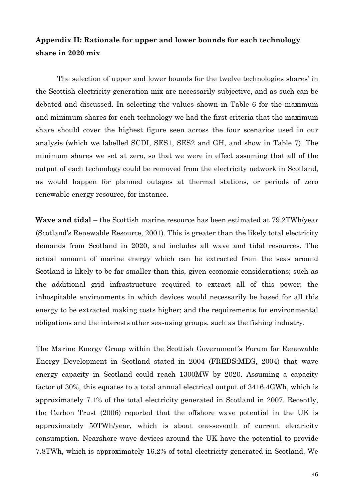## **Appendix II: Rationale for upper and lower bounds for each technology share in 2020 mix**

The selection of upper and lower bounds for the twelve technologies shares' in the Scottish electricity generation mix are necessarily subjective, and as such can be debated and discussed. In selecting the values shown in Table 6 for the maximum and minimum shares for each technology we had the first criteria that the maximum share should cover the highest figure seen across the four scenarios used in our analysis (which we labelled SCDI, SES1, SES2 and GH, and show in Table 7). The minimum shares we set at zero, so that we were in effect assuming that all of the output of each technology could be removed from the electricity network in Scotland, as would happen for planned outages at thermal stations, or periods of zero renewable energy resource, for instance.

**Wave and tidal** – the Scottish marine resource has been estimated at 79.2TWh/year (Scotland's Renewable Resource, 2001). This is greater than the likely total electricity demands from Scotland in 2020, and includes all wave and tidal resources. The actual amount of marine energy which can be extracted from the seas around Scotland is likely to be far smaller than this, given economic considerations; such as the additional grid infrastructure required to extract all of this power; the inhospitable environments in which devices would necessarily be based for all this energy to be extracted making costs higher; and the requirements for environmental obligations and the interests other sea-using groups, such as the fishing industry.

The Marine Energy Group within the Scottish Government's Forum for Renewable Energy Development in Scotland stated in 2004 (FREDS:MEG, 2004) that wave energy capacity in Scotland could reach 1300MW by 2020. Assuming a capacity factor of 30%, this equates to a total annual electrical output of 3416.4GWh, which is approximately 7.1% of the total electricity generated in Scotland in 2007. Recently, the Carbon Trust (2006) reported that the offshore wave potential in the UK is approximately 50TWh/year, which is about one-seventh of current electricity consumption. Nearshore wave devices around the UK have the potential to provide 7.8TWh, which is approximately 16.2% of total electricity generated in Scotland. We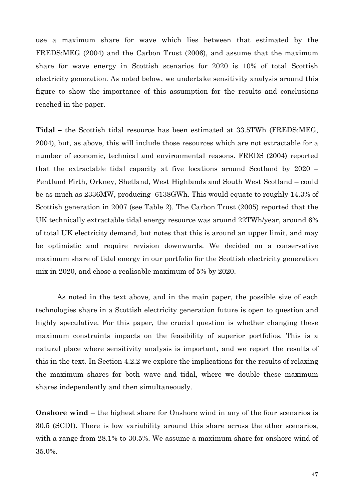use a maximum share for wave which lies between that estimated by the FREDS:MEG (2004) and the Carbon Trust (2006), and assume that the maximum share for wave energy in Scottish scenarios for 2020 is 10% of total Scottish electricity generation. As noted below, we undertake sensitivity analysis around this figure to show the importance of this assumption for the results and conclusions reached in the paper.

**Tidal –** the Scottish tidal resource has been estimated at 33.5TWh (FREDS:MEG, 2004), but, as above, this will include those resources which are not extractable for a number of economic, technical and environmental reasons. FREDS (2004) reported that the extractable tidal capacity at five locations around Scotland by 2020 – Pentland Firth, Orkney, Shetland, West Highlands and South West Scotland – could be as much as 2336MW, producing 6138GWh. This would equate to roughly 14.3% of Scottish generation in 2007 (see Table 2). The Carbon Trust (2005) reported that the UK technically extractable tidal energy resource was around 22TWh/year, around 6% of total UK electricity demand, but notes that this is around an upper limit, and may be optimistic and require revision downwards. We decided on a conservative maximum share of tidal energy in our portfolio for the Scottish electricity generation mix in 2020, and chose a realisable maximum of 5% by 2020.

As noted in the text above, and in the main paper, the possible size of each technologies share in a Scottish electricity generation future is open to question and highly speculative. For this paper, the crucial question is whether changing these maximum constraints impacts on the feasibility of superior portfolios. This is a natural place where sensitivity analysis is important, and we report the results of this in the text. In Section 4.2.2 we explore the implications for the results of relaxing the maximum shares for both wave and tidal, where we double these maximum shares independently and then simultaneously.

**Onshore wind** – the highest share for Onshore wind in any of the four scenarios is 30.5 (SCDI). There is low variability around this share across the other scenarios, with a range from 28.1% to 30.5%. We assume a maximum share for onshore wind of 35.0%.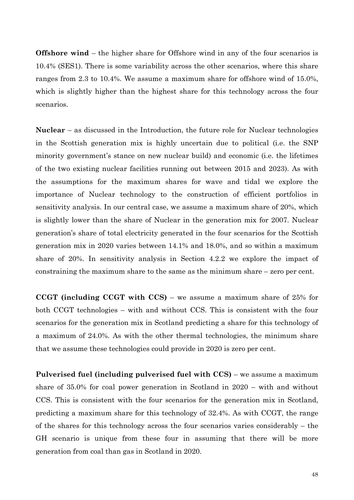**Offshore wind** – the higher share for Offshore wind in any of the four scenarios is 10.4% (SES1). There is some variability across the other scenarios, where this share ranges from 2.3 to 10.4%. We assume a maximum share for offshore wind of 15.0%, which is slightly higher than the highest share for this technology across the four scenarios.

**Nuclear** – as discussed in the Introduction, the future role for Nuclear technologies in the Scottish generation mix is highly uncertain due to political (i.e. the SNP minority government's stance on new nuclear build) and economic (i.e. the lifetimes of the two existing nuclear facilities running out between 2015 and 2023). As with the assumptions for the maximum shares for wave and tidal we explore the importance of Nuclear technology to the construction of efficient portfolios in sensitivity analysis. In our central case, we assume a maximum share of 20%, which is slightly lower than the share of Nuclear in the generation mix for 2007. Nuclear generation's share of total electricity generated in the four scenarios for the Scottish generation mix in 2020 varies between 14.1% and 18.0%, and so within a maximum share of 20%. In sensitivity analysis in Section 4.2.2 we explore the impact of constraining the maximum share to the same as the minimum share – zero per cent.

**CCGT (including CCGT with CCS)** – we assume a maximum share of 25% for both CCGT technologies – with and without CCS. This is consistent with the four scenarios for the generation mix in Scotland predicting a share for this technology of a maximum of 24.0%. As with the other thermal technologies, the minimum share that we assume these technologies could provide in 2020 is zero per cent.

**Pulverised fuel (including pulverised fuel with CCS)** – we assume a maximum share of 35.0% for coal power generation in Scotland in 2020 – with and without CCS. This is consistent with the four scenarios for the generation mix in Scotland, predicting a maximum share for this technology of 32.4%. As with CCGT, the range of the shares for this technology across the four scenarios varies considerably – the GH scenario is unique from these four in assuming that there will be more generation from coal than gas in Scotland in 2020.